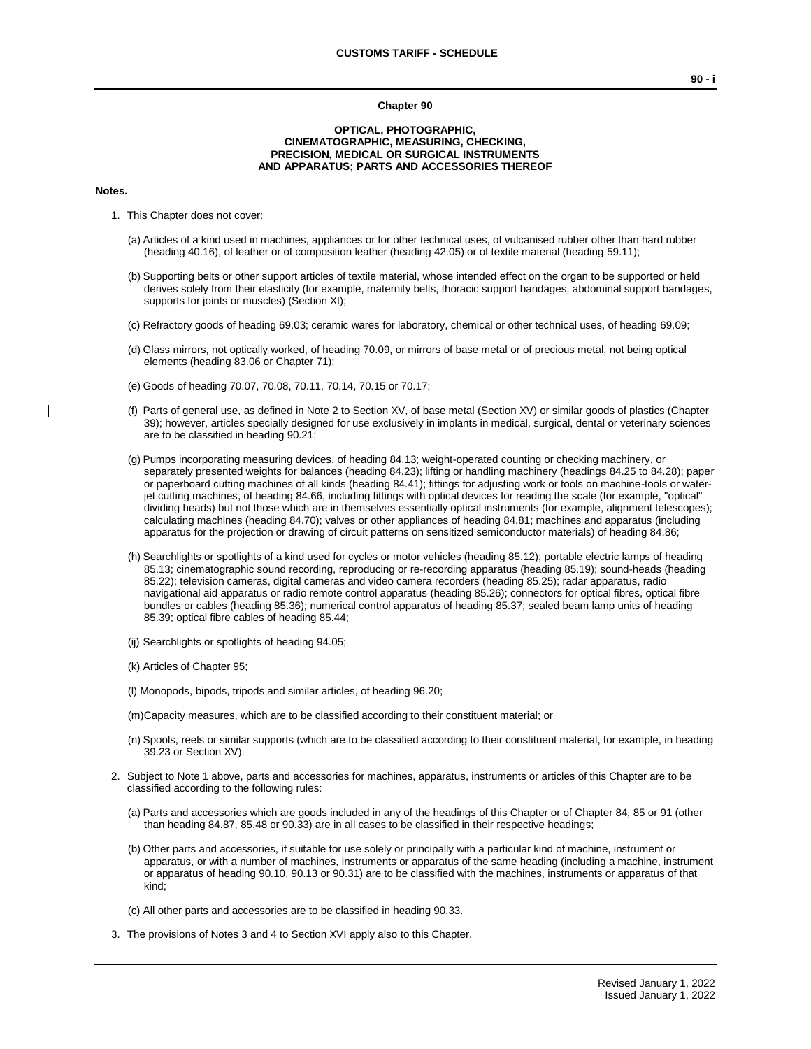#### **Chapter 90**

#### **OPTICAL, PHOTOGRAPHIC, CINEMATOGRAPHIC, MEASURING, CHECKING, PRECISION, MEDICAL OR SURGICAL INSTRUMENTS AND APPARATUS; PARTS AND ACCESSORIES THEREOF**

#### **Notes.**

- 1. This Chapter does not cover:
	- (a) Articles of a kind used in machines, appliances or for other technical uses, of vulcanised rubber other than hard rubber (heading 40.16), of leather or of composition leather (heading 42.05) or of textile material (heading 59.11);
	- (b) Supporting belts or other support articles of textile material, whose intended effect on the organ to be supported or held derives solely from their elasticity (for example, maternity belts, thoracic support bandages, abdominal support bandages, supports for joints or muscles) (Section XI);
	- (c) Refractory goods of heading 69.03; ceramic wares for laboratory, chemical or other technical uses, of heading 69.09;
	- (d) Glass mirrors, not optically worked, of heading 70.09, or mirrors of base metal or of precious metal, not being optical elements (heading 83.06 or Chapter 71);
	- (e) Goods of heading 70.07, 70.08, 70.11, 70.14, 70.15 or 70.17;
	- (f) Parts of general use, as defined in Note 2 to Section XV, of base metal (Section XV) or similar goods of plastics (Chapter 39); however, articles specially designed for use exclusively in implants in medical, surgical, dental or veterinary sciences are to be classified in heading 90.21;
	- (g) Pumps incorporating measuring devices, of heading 84.13; weight-operated counting or checking machinery, or separately presented weights for balances (heading 84.23); lifting or handling machinery (headings 84.25 to 84.28); paper or paperboard cutting machines of all kinds (heading 84.41); fittings for adjusting work or tools on machine-tools or waterjet cutting machines, of heading 84.66, including fittings with optical devices for reading the scale (for example, "optical" dividing heads) but not those which are in themselves essentially optical instruments (for example, alignment telescopes); calculating machines (heading 84.70); valves or other appliances of heading 84.81; machines and apparatus (including apparatus for the projection or drawing of circuit patterns on sensitized semiconductor materials) of heading 84.86;
	- (h) Searchlights or spotlights of a kind used for cycles or motor vehicles (heading 85.12); portable electric lamps of heading 85.13; cinematographic sound recording, reproducing or re-recording apparatus (heading 85.19); sound-heads (heading 85.22); television cameras, digital cameras and video camera recorders (heading 85.25); radar apparatus, radio navigational aid apparatus or radio remote control apparatus (heading 85.26); connectors for optical fibres, optical fibre bundles or cables (heading 85.36); numerical control apparatus of heading 85.37; sealed beam lamp units of heading 85.39; optical fibre cables of heading 85.44;
	- (ij) Searchlights or spotlights of heading 94.05;
	- (k) Articles of Chapter 95;
	- (l) Monopods, bipods, tripods and similar articles, of heading 96.20;
	- (m)Capacity measures, which are to be classified according to their constituent material; or
	- (n) Spools, reels or similar supports (which are to be classified according to their constituent material, for example, in heading 39.23 or Section XV).
- 2. Subject to Note 1 above, parts and accessories for machines, apparatus, instruments or articles of this Chapter are to be classified according to the following rules:
	- (a) Parts and accessories which are goods included in any of the headings of this Chapter or of Chapter 84, 85 or 91 (other than heading 84.87, 85.48 or 90.33) are in all cases to be classified in their respective headings;
	- (b) Other parts and accessories, if suitable for use solely or principally with a particular kind of machine, instrument or apparatus, or with a number of machines, instruments or apparatus of the same heading (including a machine, instrument or apparatus of heading 90.10, 90.13 or 90.31) are to be classified with the machines, instruments or apparatus of that kind;
	- (c) All other parts and accessories are to be classified in heading 90.33.
- 3. The provisions of Notes 3 and 4 to Section XVI apply also to this Chapter.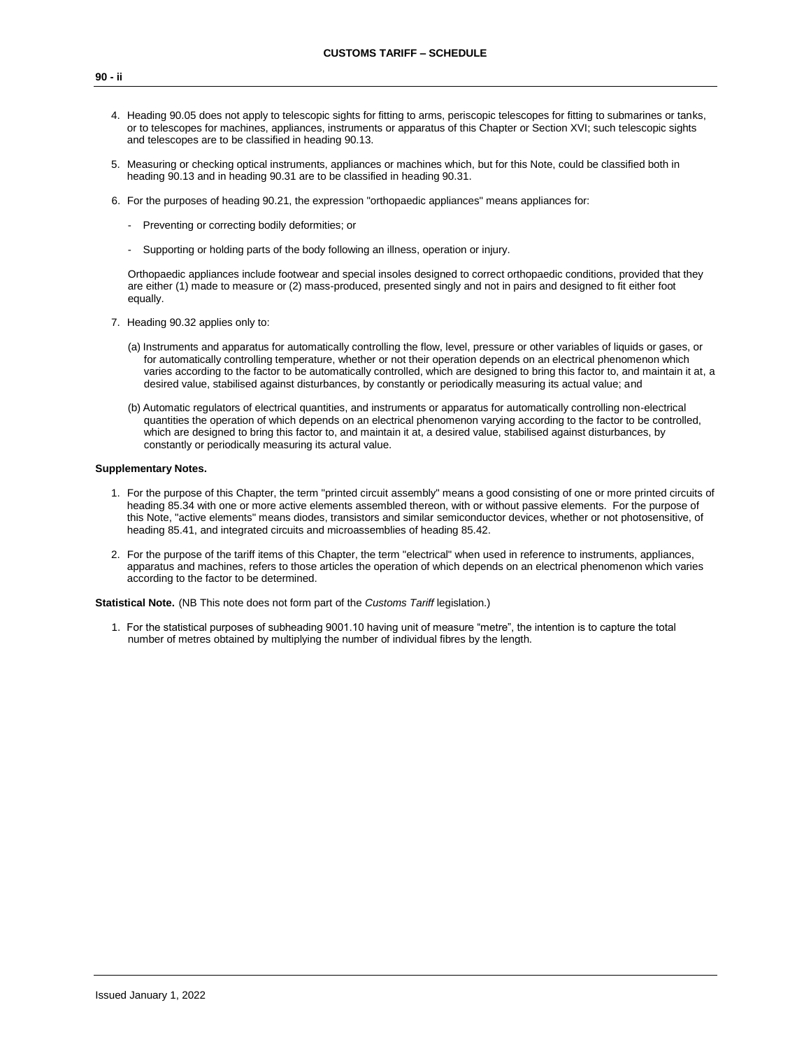- 4. Heading 90.05 does not apply to telescopic sights for fitting to arms, periscopic telescopes for fitting to submarines or tanks, or to telescopes for machines, appliances, instruments or apparatus of this Chapter or Section XVI; such telescopic sights and telescopes are to be classified in heading 90.13.
- 5. Measuring or checking optical instruments, appliances or machines which, but for this Note, could be classified both in heading 90.13 and in heading 90.31 are to be classified in heading 90.31.
- 6. For the purposes of heading 90.21, the expression "orthopaedic appliances" means appliances for:
	- Preventing or correcting bodily deformities; or
	- Supporting or holding parts of the body following an illness, operation or injury.

Orthopaedic appliances include footwear and special insoles designed to correct orthopaedic conditions, provided that they are either (1) made to measure or (2) mass-produced, presented singly and not in pairs and designed to fit either foot equally.

- 7. Heading 90.32 applies only to:
	- (a) Instruments and apparatus for automatically controlling the flow, level, pressure or other variables of liquids or gases, or for automatically controlling temperature, whether or not their operation depends on an electrical phenomenon which varies according to the factor to be automatically controlled, which are designed to bring this factor to, and maintain it at, a desired value, stabilised against disturbances, by constantly or periodically measuring its actual value; and
	- (b) Automatic regulators of electrical quantities, and instruments or apparatus for automatically controlling non-electrical quantities the operation of which depends on an electrical phenomenon varying according to the factor to be controlled, which are designed to bring this factor to, and maintain it at, a desired value, stabilised against disturbances, by constantly or periodically measuring its actural value.

#### **Supplementary Notes.**

- 1. For the purpose of this Chapter, the term "printed circuit assembly" means a good consisting of one or more printed circuits of heading 85.34 with one or more active elements assembled thereon, with or without passive elements. For the purpose of this Note, "active elements" means diodes, transistors and similar semiconductor devices, whether or not photosensitive, of heading 85.41, and integrated circuits and microassemblies of heading 85.42.
- 2. For the purpose of the tariff items of this Chapter, the term "electrical" when used in reference to instruments, appliances, apparatus and machines, refers to those articles the operation of which depends on an electrical phenomenon which varies according to the factor to be determined.

**Statistical Note.** (NB This note does not form part of the *Customs Tariff* legislation.)

1. For the statistical purposes of subheading 9001.10 having unit of measure "metre", the intention is to capture the total number of metres obtained by multiplying the number of individual fibres by the length.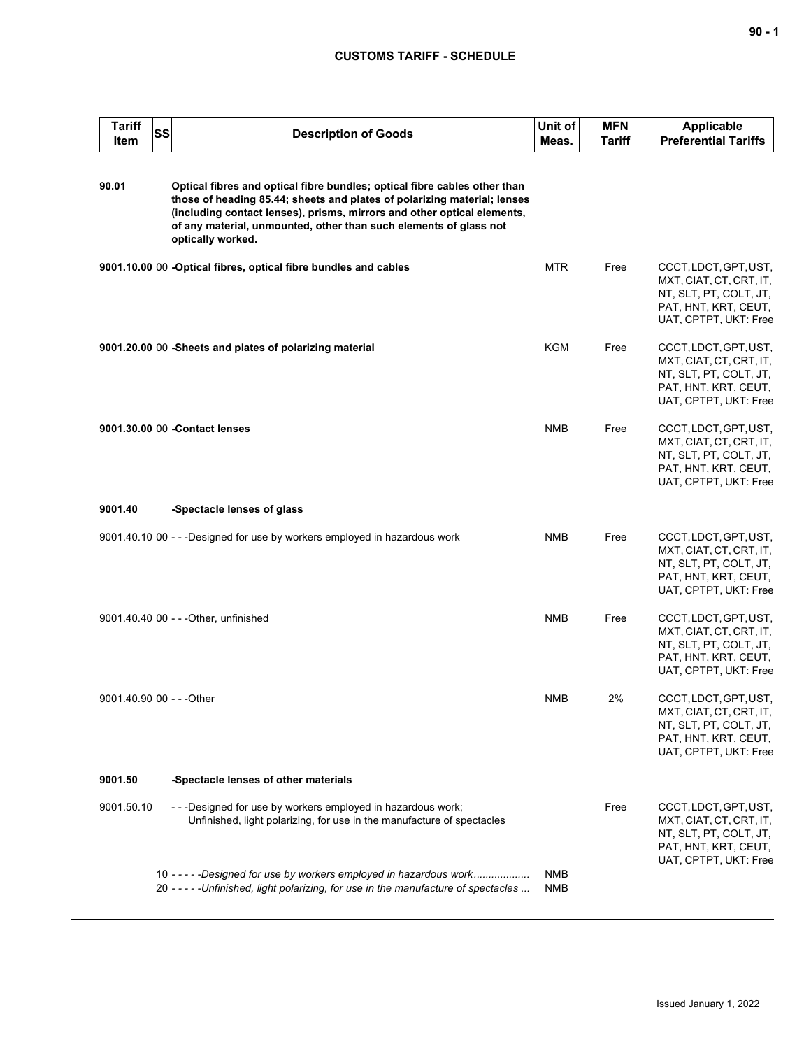| <b>Tariff</b><br>Item     | <b>SS</b> | <b>Description of Goods</b>                                                                                                                                                                                                                                                                                                | Unit of<br>Meas.         | <b>MFN</b><br><b>Tariff</b> | <b>Applicable</b><br><b>Preferential Tariffs</b>                                                                            |
|---------------------------|-----------|----------------------------------------------------------------------------------------------------------------------------------------------------------------------------------------------------------------------------------------------------------------------------------------------------------------------------|--------------------------|-----------------------------|-----------------------------------------------------------------------------------------------------------------------------|
| 90.01                     |           | Optical fibres and optical fibre bundles; optical fibre cables other than<br>those of heading 85.44; sheets and plates of polarizing material; lenses<br>(including contact lenses), prisms, mirrors and other optical elements,<br>of any material, unmounted, other than such elements of glass not<br>optically worked. |                          |                             |                                                                                                                             |
|                           |           | 9001.10.00 00 -Optical fibres, optical fibre bundles and cables                                                                                                                                                                                                                                                            | <b>MTR</b>               | Free                        | CCCT, LDCT, GPT, UST,<br>MXT, CIAT, CT, CRT, IT,<br>NT, SLT, PT, COLT, JT,<br>PAT, HNT, KRT, CEUT,<br>UAT, CPTPT, UKT: Free |
|                           |           | 9001.20.00 00 -Sheets and plates of polarizing material                                                                                                                                                                                                                                                                    | KGM                      | Free                        | CCCT, LDCT, GPT, UST,<br>MXT, CIAT, CT, CRT, IT,<br>NT, SLT, PT, COLT, JT,<br>PAT, HNT, KRT, CEUT,<br>UAT, CPTPT, UKT: Free |
|                           |           | 9001.30.00 00 - Contact lenses                                                                                                                                                                                                                                                                                             | <b>NMB</b>               | Free                        | CCCT, LDCT, GPT, UST,<br>MXT, CIAT, CT, CRT, IT,<br>NT, SLT, PT, COLT, JT,<br>PAT, HNT, KRT, CEUT,<br>UAT, CPTPT, UKT: Free |
| 9001.40                   |           | -Spectacle lenses of glass                                                                                                                                                                                                                                                                                                 |                          |                             |                                                                                                                             |
|                           |           | 9001.40.10 00 - - -Designed for use by workers employed in hazardous work                                                                                                                                                                                                                                                  | <b>NMB</b>               | Free                        | CCCT, LDCT, GPT, UST,<br>MXT, CIAT, CT, CRT, IT,<br>NT, SLT, PT, COLT, JT,<br>PAT, HNT, KRT, CEUT,<br>UAT, CPTPT, UKT: Free |
|                           |           | 9001.40.40 00 - - - Other, unfinished                                                                                                                                                                                                                                                                                      | <b>NMB</b>               | Free                        | CCCT, LDCT, GPT, UST,<br>MXT, CIAT, CT, CRT, IT,<br>NT, SLT, PT, COLT, JT,<br>PAT, HNT, KRT, CEUT,<br>UAT, CPTPT, UKT: Free |
| 9001.40.90 00 - - - Other |           |                                                                                                                                                                                                                                                                                                                            | <b>NMB</b>               | 2%                          | CCCT, LDCT, GPT, UST,<br>MXT, CIAT, CT, CRT, IT,<br>NT, SLT, PT, COLT, JT,<br>PAT, HNT, KRT, CEUT,<br>UAT, CPTPT, UKT: Free |
| 9001.50                   |           | -Spectacle lenses of other materials                                                                                                                                                                                                                                                                                       |                          |                             |                                                                                                                             |
| 9001.50.10                |           | - - - Designed for use by workers employed in hazardous work;<br>Unfinished, light polarizing, for use in the manufacture of spectacles                                                                                                                                                                                    |                          | Free                        | CCCT, LDCT, GPT, UST,<br>MXT, CIAT, CT, CRT, IT,<br>NT, SLT, PT, COLT, JT,<br>PAT, HNT, KRT, CEUT,<br>UAT, CPTPT, UKT: Free |
|                           |           | 10 - - - - - Designed for use by workers employed in hazardous work<br>20 - - - - - Unfinished, light polarizing, for use in the manufacture of spectacles                                                                                                                                                                 | <b>NMB</b><br><b>NMB</b> |                             |                                                                                                                             |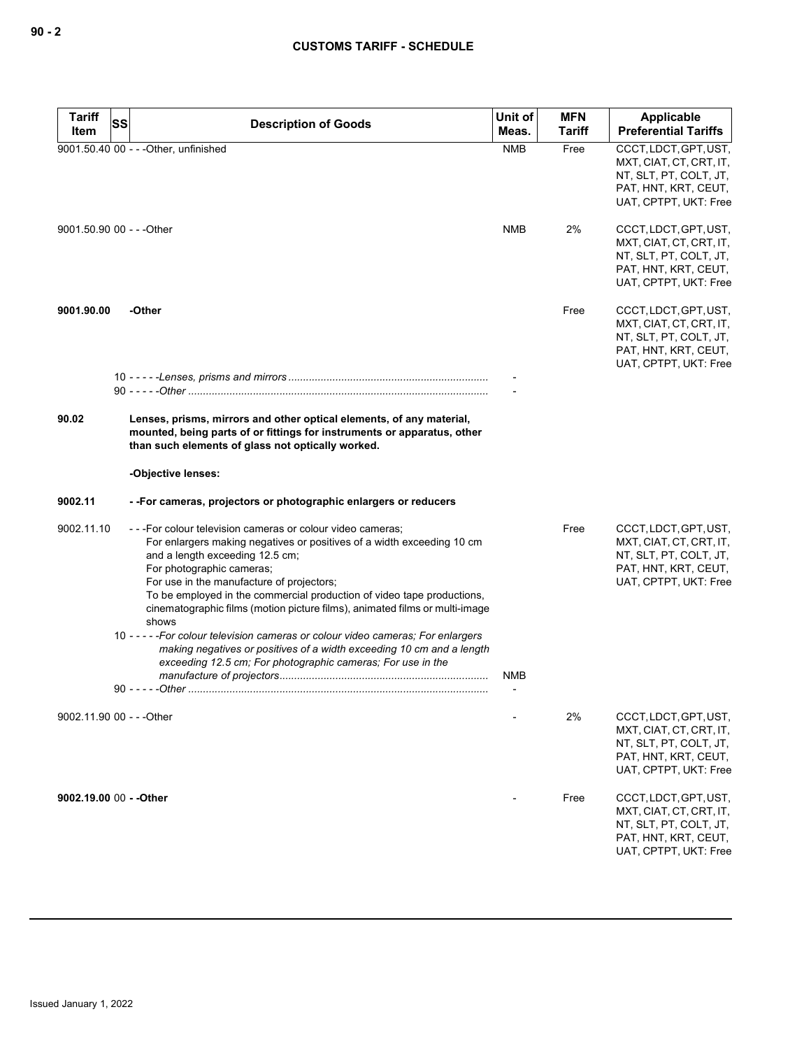| <b>Tariff</b><br>SS<br>Item | <b>Description of Goods</b>                                                                                                                                                                                                                                                                                                                                                                                                                                                                                                                                                                                                                      | Unit of<br>Meas.                | <b>MFN</b><br><b>Tariff</b> | <b>Applicable</b><br><b>Preferential Tariffs</b>                                                                            |
|-----------------------------|--------------------------------------------------------------------------------------------------------------------------------------------------------------------------------------------------------------------------------------------------------------------------------------------------------------------------------------------------------------------------------------------------------------------------------------------------------------------------------------------------------------------------------------------------------------------------------------------------------------------------------------------------|---------------------------------|-----------------------------|-----------------------------------------------------------------------------------------------------------------------------|
|                             | 9001.50.40 00 - - - Other, unfinished                                                                                                                                                                                                                                                                                                                                                                                                                                                                                                                                                                                                            | <b>NMB</b>                      | Free                        | CCCT, LDCT, GPT, UST,<br>MXT, CIAT, CT, CRT, IT,<br>NT, SLT, PT, COLT, JT,<br>PAT, HNT, KRT, CEUT,<br>UAT, CPTPT, UKT: Free |
| 9001.50.90 00 - - - Other   |                                                                                                                                                                                                                                                                                                                                                                                                                                                                                                                                                                                                                                                  | <b>NMB</b>                      | 2%                          | CCCT, LDCT, GPT, UST,<br>MXT, CIAT, CT, CRT, IT,<br>NT, SLT, PT, COLT, JT,<br>PAT, HNT, KRT, CEUT,<br>UAT, CPTPT, UKT: Free |
| 9001.90.00                  | -Other                                                                                                                                                                                                                                                                                                                                                                                                                                                                                                                                                                                                                                           |                                 | Free                        | CCCT, LDCT, GPT, UST,<br>MXT, CIAT, CT, CRT, IT,<br>NT, SLT, PT, COLT, JT,<br>PAT, HNT, KRT, CEUT,<br>UAT, CPTPT, UKT: Free |
|                             |                                                                                                                                                                                                                                                                                                                                                                                                                                                                                                                                                                                                                                                  |                                 |                             |                                                                                                                             |
| 90.02                       | Lenses, prisms, mirrors and other optical elements, of any material,<br>mounted, being parts of or fittings for instruments or apparatus, other<br>than such elements of glass not optically worked.                                                                                                                                                                                                                                                                                                                                                                                                                                             |                                 |                             |                                                                                                                             |
|                             | -Objective lenses:                                                                                                                                                                                                                                                                                                                                                                                                                                                                                                                                                                                                                               |                                 |                             |                                                                                                                             |
| 9002.11                     | -- For cameras, projectors or photographic enlargers or reducers                                                                                                                                                                                                                                                                                                                                                                                                                                                                                                                                                                                 |                                 |                             |                                                                                                                             |
| 9002.11.10                  | --- For colour television cameras or colour video cameras;<br>For enlargers making negatives or positives of a width exceeding 10 cm<br>and a length exceeding 12.5 cm;<br>For photographic cameras;<br>For use in the manufacture of projectors;<br>To be employed in the commercial production of video tape productions,<br>cinematographic films (motion picture films), animated films or multi-image<br>shows<br>10 - - - - - For colour television cameras or colour video cameras; For enlargers<br>making negatives or positives of a width exceeding 10 cm and a length<br>exceeding 12.5 cm; For photographic cameras; For use in the |                                 | Free                        | CCCT, LDCT, GPT, UST,<br>MXT, CIAT, CT, CRT, IT,<br>NT, SLT, PT, COLT, JT,<br>PAT, HNT, KRT, CEUT,<br>UAT, CPTPT, UKT: Free |
|                             |                                                                                                                                                                                                                                                                                                                                                                                                                                                                                                                                                                                                                                                  | NMB<br>$\overline{\phantom{a}}$ |                             |                                                                                                                             |
| 9002.11.90 00 - - - Other   |                                                                                                                                                                                                                                                                                                                                                                                                                                                                                                                                                                                                                                                  |                                 | 2%                          | CCCT, LDCT, GPT, UST,<br>MXT, CIAT, CT, CRT, IT,<br>NT, SLT, PT, COLT, JT,<br>PAT, HNT, KRT, CEUT,<br>UAT, CPTPT, UKT: Free |
| 9002.19.00 00 - - Other     |                                                                                                                                                                                                                                                                                                                                                                                                                                                                                                                                                                                                                                                  |                                 | Free                        | CCCT, LDCT, GPT, UST,<br>MXT, CIAT, CT, CRT, IT,<br>NT, SLT, PT, COLT, JT,<br>PAT, HNT, KRT, CEUT,<br>UAT, CPTPT, UKT: Free |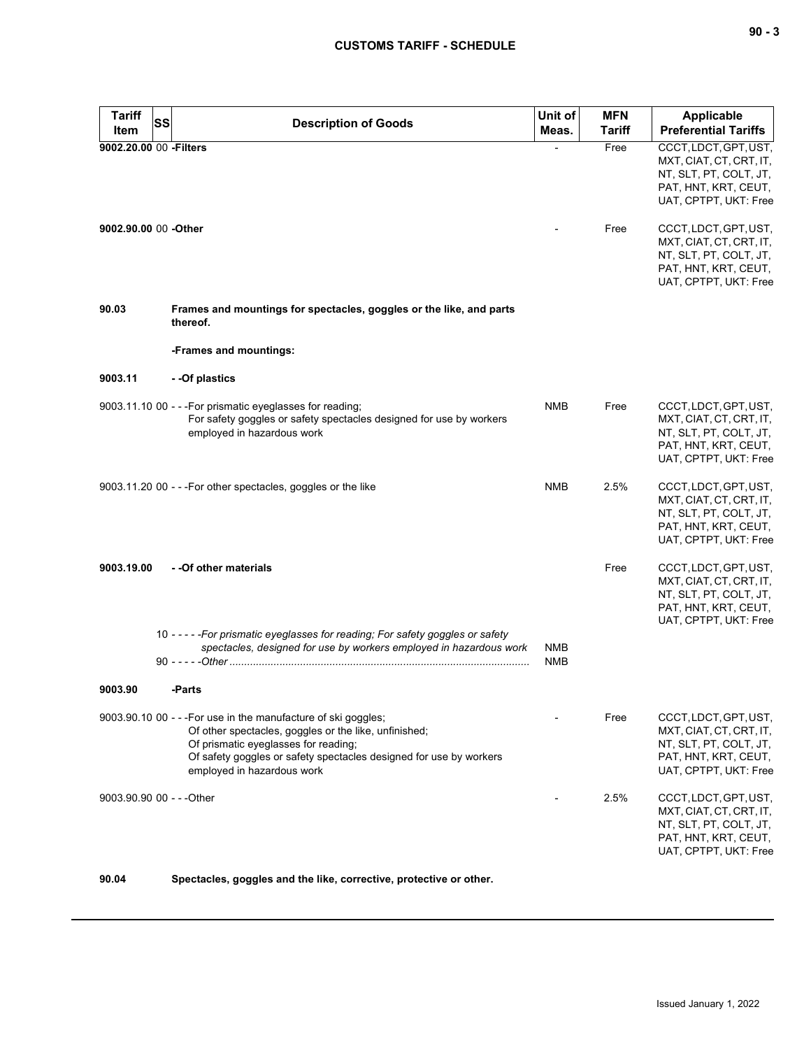| <b>Tariff</b><br><b>SS</b><br>Item | <b>Description of Goods</b>                                                                                                                                                                                                                                         | Unit of<br>Meas.         | <b>MFN</b><br><b>Tariff</b> | <b>Applicable</b><br><b>Preferential Tariffs</b>                                                                            |
|------------------------------------|---------------------------------------------------------------------------------------------------------------------------------------------------------------------------------------------------------------------------------------------------------------------|--------------------------|-----------------------------|-----------------------------------------------------------------------------------------------------------------------------|
| 9002.20.00 00 - Filters            |                                                                                                                                                                                                                                                                     |                          | Free                        | CCCT, LDCT, GPT, UST,<br>MXT, CIAT, CT, CRT, IT,<br>NT, SLT, PT, COLT, JT,<br>PAT, HNT, KRT, CEUT,<br>UAT, CPTPT, UKT: Free |
| 9002.90.00 00 -Other               |                                                                                                                                                                                                                                                                     |                          | Free                        | CCCT, LDCT, GPT, UST,<br>MXT, CIAT, CT, CRT, IT,<br>NT, SLT, PT, COLT, JT,<br>PAT, HNT, KRT, CEUT,<br>UAT, CPTPT, UKT: Free |
| 90.03                              | Frames and mountings for spectacles, goggles or the like, and parts<br>thereof.                                                                                                                                                                                     |                          |                             |                                                                                                                             |
|                                    | -Frames and mountings:                                                                                                                                                                                                                                              |                          |                             |                                                                                                                             |
| 9003.11                            | - - Of plastics                                                                                                                                                                                                                                                     |                          |                             |                                                                                                                             |
|                                    | 9003.11.10 00 - - - For prismatic eyeglasses for reading;<br>For safety goggles or safety spectacles designed for use by workers<br>employed in hazardous work                                                                                                      | <b>NMB</b>               | Free                        | CCCT, LDCT, GPT, UST,<br>MXT, CIAT, CT, CRT, IT,<br>NT, SLT, PT, COLT, JT,<br>PAT, HNT, KRT, CEUT,<br>UAT, CPTPT, UKT: Free |
|                                    | 9003.11.20 00 - - - For other spectacles, goggles or the like                                                                                                                                                                                                       | <b>NMB</b>               | 2.5%                        | CCCT, LDCT, GPT, UST,<br>MXT, CIAT, CT, CRT, IT,<br>NT, SLT, PT, COLT, JT,<br>PAT, HNT, KRT, CEUT,<br>UAT, CPTPT, UKT: Free |
| 9003.19.00                         | - - Of other materials                                                                                                                                                                                                                                              |                          | Free                        | CCCT, LDCT, GPT, UST,<br>MXT, CIAT, CT, CRT, IT,<br>NT, SLT, PT, COLT, JT,<br>PAT, HNT, KRT, CEUT,<br>UAT, CPTPT, UKT: Free |
|                                    | 10 - - - - - For prismatic eyeglasses for reading; For safety goggles or safety<br>spectacles, designed for use by workers employed in hazardous work                                                                                                               | <b>NMB</b><br><b>NMB</b> |                             |                                                                                                                             |
| 9003.90                            | -Parts                                                                                                                                                                                                                                                              |                          |                             |                                                                                                                             |
|                                    | 9003.90.10 00 - - - For use in the manufacture of ski goggles;<br>Of other spectacles, goggles or the like, unfinished;<br>Of prismatic eyeglasses for reading;<br>Of safety goggles or safety spectacles designed for use by workers<br>employed in hazardous work |                          | Free                        | CCCT, LDCT, GPT, UST,<br>MXT, CIAT, CT, CRT, IT,<br>NT, SLT, PT, COLT, JT,<br>PAT, HNT, KRT, CEUT,<br>UAT, CPTPT, UKT: Free |
| 9003.90.90 00 - - - Other          |                                                                                                                                                                                                                                                                     |                          | 2.5%                        | CCCT, LDCT, GPT, UST,<br>MXT, CIAT, CT, CRT, IT,<br>NT, SLT, PT, COLT, JT,<br>PAT, HNT, KRT, CEUT,<br>UAT, CPTPT, UKT: Free |

**90.04 Spectacles, goggles and the like, corrective, protective or other.**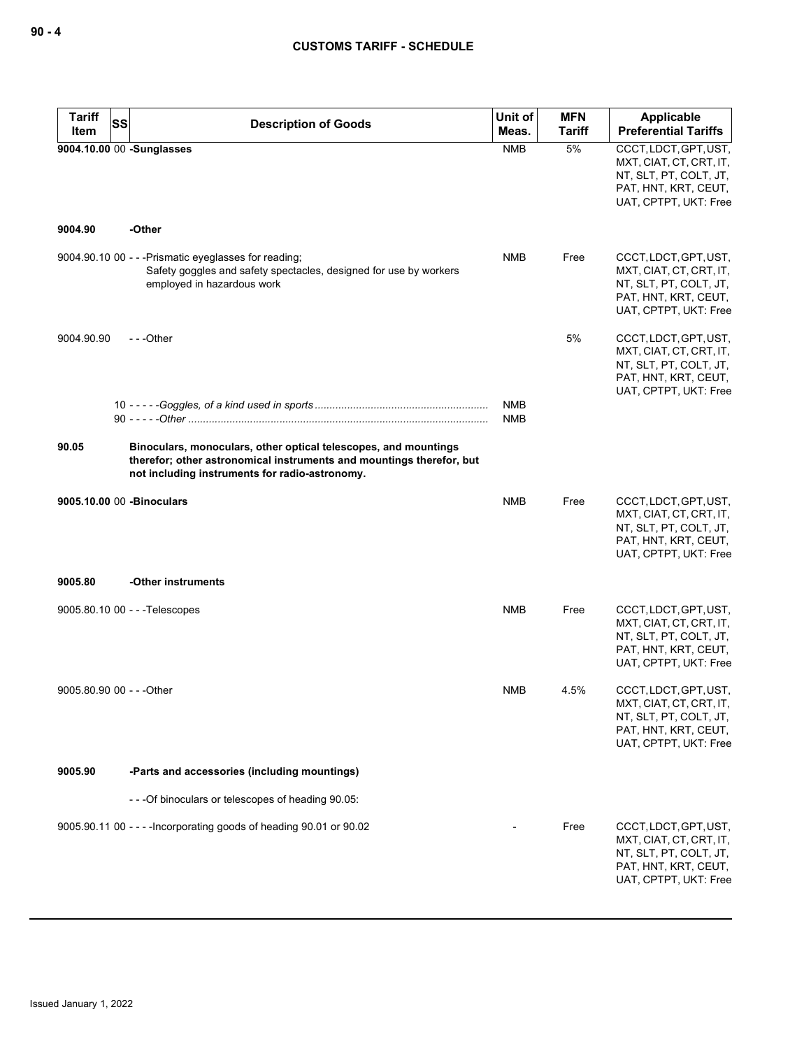| <b>Tariff</b> | <b>SS</b>                      | <b>Description of Goods</b>                                                                                                                                                               | Unit of    | <b>MFN</b>    | <b>Applicable</b>                                                                                                           |
|---------------|--------------------------------|-------------------------------------------------------------------------------------------------------------------------------------------------------------------------------------------|------------|---------------|-----------------------------------------------------------------------------------------------------------------------------|
| Item          |                                |                                                                                                                                                                                           | Meas.      | <b>Tariff</b> | <b>Preferential Tariffs</b>                                                                                                 |
|               | 9004.10.00 00 -Sunglasses      |                                                                                                                                                                                           | <b>NMB</b> | 5%            | CCCT, LDCT, GPT, UST,<br>MXT, CIAT, CT, CRT, IT,<br>NT, SLT, PT, COLT, JT,<br>PAT, HNT, KRT, CEUT,<br>UAT, CPTPT, UKT: Free |
| 9004.90       | -Other                         |                                                                                                                                                                                           |            |               |                                                                                                                             |
|               |                                | 9004.90.10 00 - - - Prismatic eyeglasses for reading;<br>Safety goggles and safety spectacles, designed for use by workers<br>employed in hazardous work                                  | NMB        | Free          | CCCT, LDCT, GPT, UST,<br>MXT, CIAT, CT, CRT, IT,<br>NT, SLT, PT, COLT, JT,<br>PAT, HNT, KRT, CEUT,<br>UAT, CPTPT, UKT: Free |
| 9004.90.90    | $- -$ Other                    |                                                                                                                                                                                           |            | 5%            | CCCT, LDCT, GPT, UST,<br>MXT, CIAT, CT, CRT, IT,<br>NT, SLT, PT, COLT, JT,<br>PAT, HNT, KRT, CEUT,<br>UAT, CPTPT, UKT: Free |
|               |                                |                                                                                                                                                                                           | NMB<br>NMB |               |                                                                                                                             |
| 90.05         |                                | Binoculars, monoculars, other optical telescopes, and mountings<br>therefor; other astronomical instruments and mountings therefor, but<br>not including instruments for radio-astronomy. |            |               |                                                                                                                             |
|               | 9005.10.00 00 -Binoculars      |                                                                                                                                                                                           | <b>NMB</b> | Free          | CCCT, LDCT, GPT, UST,<br>MXT, CIAT, CT, CRT, IT,<br>NT, SLT, PT, COLT, JT,<br>PAT, HNT, KRT, CEUT,<br>UAT, CPTPT, UKT: Free |
| 9005.80       | -Other instruments             |                                                                                                                                                                                           |            |               |                                                                                                                             |
|               | 9005.80.10 00 - - - Telescopes |                                                                                                                                                                                           | NMB        | Free          | CCCT, LDCT, GPT, UST,<br>MXT, CIAT, CT, CRT, IT,<br>NT, SLT, PT, COLT, JT,<br>PAT, HNT, KRT, CEUT,<br>UAT, CPTPT, UKT: Free |
|               | 9005.80.90 00 - - - Other      |                                                                                                                                                                                           | NMB        | 4.5%          | CCCT, LDCT, GPT, UST,<br>MXI, CIAI, CI, CRI, II,<br>NT, SLT, PT, COLT, JT,<br>PAT, HNT, KRT, CEUT,<br>UAT, CPTPT, UKT: Free |
| 9005.90       |                                | -Parts and accessories (including mountings)                                                                                                                                              |            |               |                                                                                                                             |
|               |                                | ---Of binoculars or telescopes of heading 90.05:                                                                                                                                          |            |               |                                                                                                                             |
|               |                                | 9005.90.11 00 - - - - Incorporating goods of heading 90.01 or 90.02                                                                                                                       |            | Free          | CCCT, LDCT, GPT, UST,<br>MXT, CIAT, CT, CRT, IT,<br>NT, SLT, PT, COLT, JT,<br>PAT, HNT, KRT, CEUT,<br>UAT, CPTPT, UKT: Free |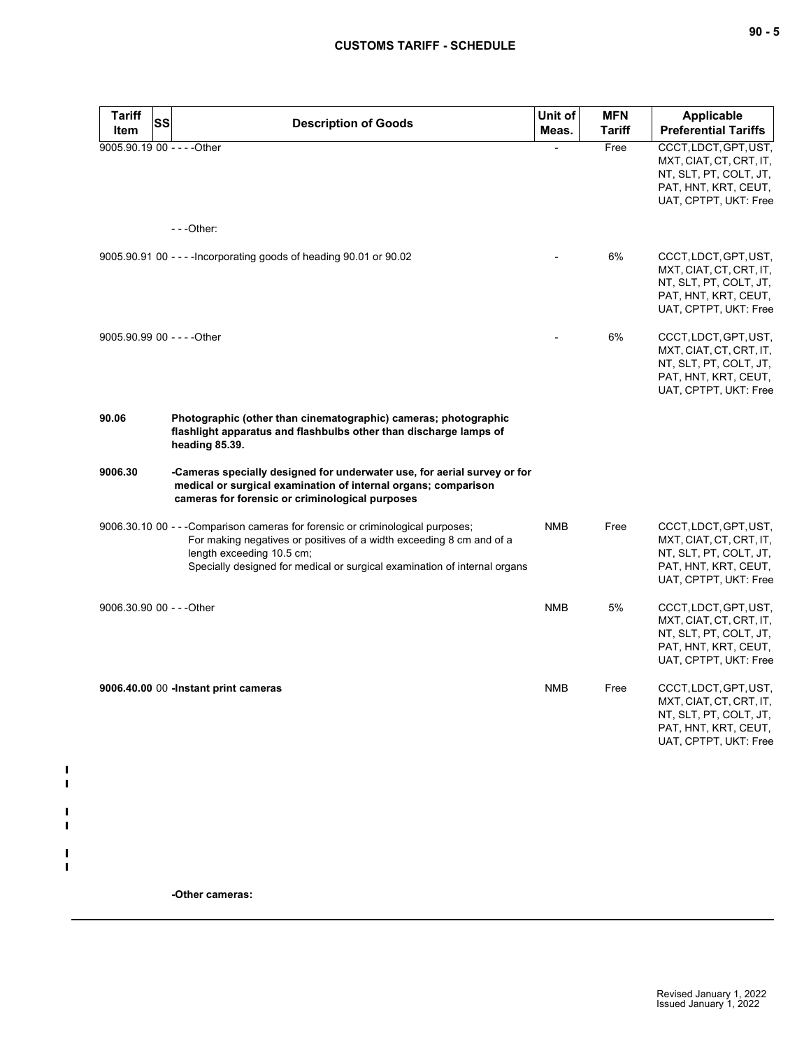| <b>Tariff</b><br>Item       | SS | <b>Description of Goods</b>                                                                                                                                                                                                                                       | Unit of<br>Meas. | <b>MFN</b><br><b>Tariff</b> | <b>Applicable</b><br><b>Preferential Tariffs</b>                                                                            |
|-----------------------------|----|-------------------------------------------------------------------------------------------------------------------------------------------------------------------------------------------------------------------------------------------------------------------|------------------|-----------------------------|-----------------------------------------------------------------------------------------------------------------------------|
| 9005.90.19 00 - - - - Other |    |                                                                                                                                                                                                                                                                   |                  | Free                        | CCCT, LDCT, GPT, UST,<br>MXT, CIAT, CT, CRT, IT,<br>NT, SLT, PT, COLT, JT,<br>PAT, HNT, KRT, CEUT,<br>UAT, CPTPT, UKT: Free |
|                             |    | $- -$ Other:                                                                                                                                                                                                                                                      |                  |                             |                                                                                                                             |
|                             |    | 9005.90.91 00 - - - - Incorporating goods of heading 90.01 or 90.02                                                                                                                                                                                               |                  | 6%                          | CCCT, LDCT, GPT, UST,<br>MXT, CIAT, CT, CRT, IT,<br>NT, SLT, PT, COLT, JT,<br>PAT, HNT, KRT, CEUT,<br>UAT, CPTPT, UKT: Free |
| 9005.90.99 00 - - - - Other |    |                                                                                                                                                                                                                                                                   |                  | 6%                          | CCCT, LDCT, GPT, UST,<br>MXT, CIAT, CT, CRT, IT,<br>NT, SLT, PT, COLT, JT,<br>PAT, HNT, KRT, CEUT,<br>UAT, CPTPT, UKT: Free |
| 90.06                       |    | Photographic (other than cinematographic) cameras; photographic<br>flashlight apparatus and flashbulbs other than discharge lamps of<br>heading 85.39.                                                                                                            |                  |                             |                                                                                                                             |
| 9006.30                     |    | -Cameras specially designed for underwater use, for aerial survey or for<br>medical or surgical examination of internal organs; comparison<br>cameras for forensic or criminological purposes                                                                     |                  |                             |                                                                                                                             |
|                             |    | 9006.30.10 00 - - - Comparison cameras for forensic or criminological purposes;<br>For making negatives or positives of a width exceeding 8 cm and of a<br>length exceeding 10.5 cm;<br>Specially designed for medical or surgical examination of internal organs | <b>NMB</b>       | Free                        | CCCT, LDCT, GPT, UST,<br>MXT, CIAT, CT, CRT, IT,<br>NT, SLT, PT, COLT, JT,<br>PAT, HNT, KRT, CEUT,<br>UAT, CPTPT, UKT: Free |
| 9006.30.90 00 - - - Other   |    |                                                                                                                                                                                                                                                                   | <b>NMB</b>       | 5%                          | CCCT, LDCT, GPT, UST,<br>MXT, CIAT, CT, CRT, IT,<br>NT, SLT, PT, COLT, JT,<br>PAT, HNT, KRT, CEUT,<br>UAT, CPTPT, UKT: Free |
|                             |    | 9006.40.00 00 -Instant print cameras                                                                                                                                                                                                                              | <b>NMB</b>       | Free                        | CCCT, LDCT, GPT, UST,<br>MXT, CIAT, CT, CRT, IT,<br>NT, SLT, PT, COLT, JT,<br>PAT, HNT, KRT, CEUT,<br>UAT, CPTPT, UKT: Free |
|                             |    |                                                                                                                                                                                                                                                                   |                  |                             |                                                                                                                             |

**-Other cameras:**

 $\mathbf I$  $\mathbf{I}$ 

 $\mathbf{I}$  $\blacksquare$ 

 $\mathbf{I}$  $\mathbf{I}$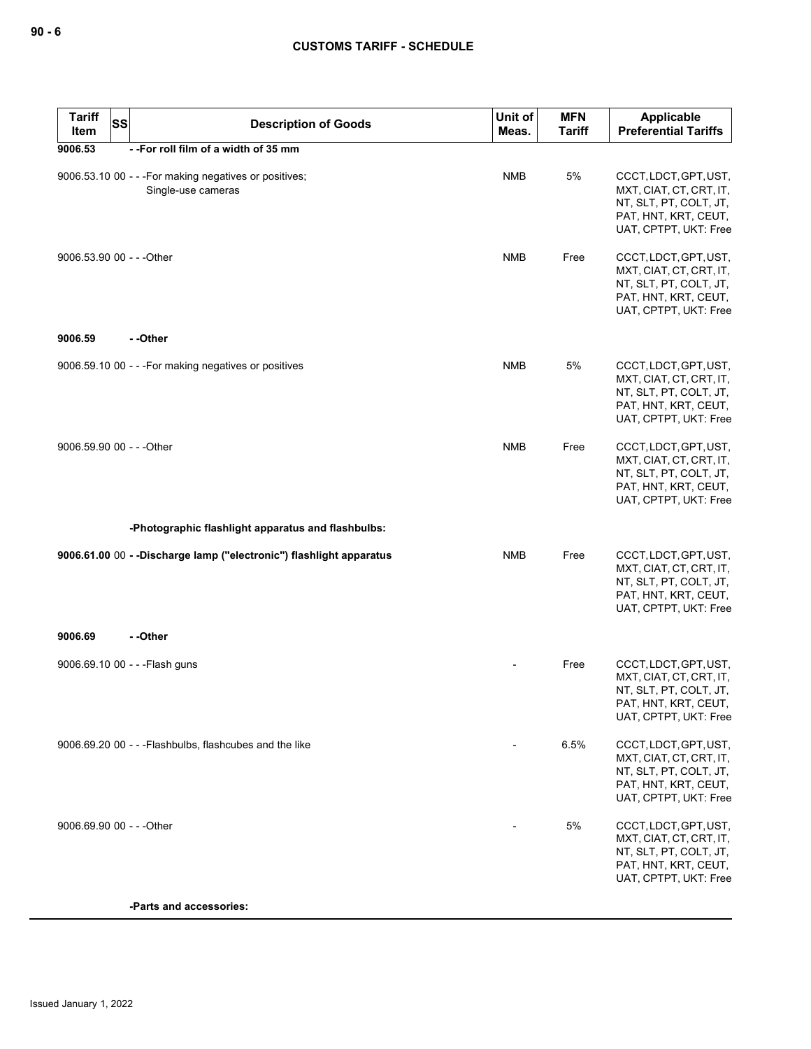| <b>Tariff</b><br><b>SS</b><br>Item | <b>Description of Goods</b>                                                  | Unit of<br>Meas. | <b>MFN</b><br><b>Tariff</b> | <b>Applicable</b><br><b>Preferential Tariffs</b>                                                                            |
|------------------------------------|------------------------------------------------------------------------------|------------------|-----------------------------|-----------------------------------------------------------------------------------------------------------------------------|
| 9006.53                            | --For roll film of a width of 35 mm                                          |                  |                             |                                                                                                                             |
|                                    | 9006.53.10 00 - - - For making negatives or positives;<br>Single-use cameras | <b>NMB</b>       | 5%                          | CCCT, LDCT, GPT, UST,<br>MXT, CIAT, CT, CRT, IT,<br>NT, SLT, PT, COLT, JT,<br>PAT, HNT, KRT, CEUT,<br>UAT, CPTPT, UKT: Free |
| 9006.53.90 00 - - - Other          |                                                                              | <b>NMB</b>       | Free                        | CCCT, LDCT, GPT, UST,<br>MXT, CIAT, CT, CRT, IT,<br>NT, SLT, PT, COLT, JT,<br>PAT, HNT, KRT, CEUT,<br>UAT, CPTPT, UKT: Free |
| 9006.59                            | - -Other                                                                     |                  |                             |                                                                                                                             |
|                                    | 9006.59.10 00 - - - For making negatives or positives                        | <b>NMB</b>       | 5%                          | CCCT, LDCT, GPT, UST,<br>MXT, CIAT, CT, CRT, IT,<br>NT, SLT, PT, COLT, JT,<br>PAT, HNT, KRT, CEUT,<br>UAT, CPTPT, UKT: Free |
| 9006.59.90 00 - - - Other          |                                                                              | <b>NMB</b>       | Free                        | CCCT, LDCT, GPT, UST,<br>MXT, CIAT, CT, CRT, IT,<br>NT, SLT, PT, COLT, JT,<br>PAT, HNT, KRT, CEUT,<br>UAT, CPTPT, UKT: Free |
|                                    | -Photographic flashlight apparatus and flashbulbs:                           |                  |                             |                                                                                                                             |
|                                    | 9006.61.00 00 - -Discharge lamp ("electronic") flashlight apparatus          | <b>NMB</b>       | Free                        | CCCT, LDCT, GPT, UST,<br>MXT, CIAT, CT, CRT, IT,<br>NT, SLT, PT, COLT, JT,<br>PAT, HNT, KRT, CEUT,<br>UAT, CPTPT, UKT: Free |
| 9006.69                            | - -Other                                                                     |                  |                             |                                                                                                                             |
| 9006.69.10 00 - - - Flash guns     |                                                                              |                  | Free                        | CCCT, LDCT, GPT, UST,<br>MXT, CIAT, CT, CRT, IT,<br>NT, SLT, PT, COLT, JT,<br>PAI, HNI, KRI, CEUI,<br>UAT, CPTPT, UKT: Free |
|                                    | 9006.69.20 00 - - - Flashbulbs, flashcubes and the like                      |                  | 6.5%                        | CCCT, LDCT, GPT, UST,<br>MXT, CIAT, CT, CRT, IT,<br>NT, SLT, PT, COLT, JT,<br>PAT, HNT, KRT, CEUT,<br>UAT, CPTPT, UKT: Free |
| 9006.69.90 00 - - - Other          |                                                                              |                  | 5%                          | CCCT, LDCT, GPT, UST,<br>MXT, CIAT, CT, CRT, IT,<br>NT, SLT, PT, COLT, JT,<br>PAT, HNT, KRT, CEUT,<br>UAT, CPTPT, UKT: Free |
|                                    | -Parts and accessories:                                                      |                  |                             |                                                                                                                             |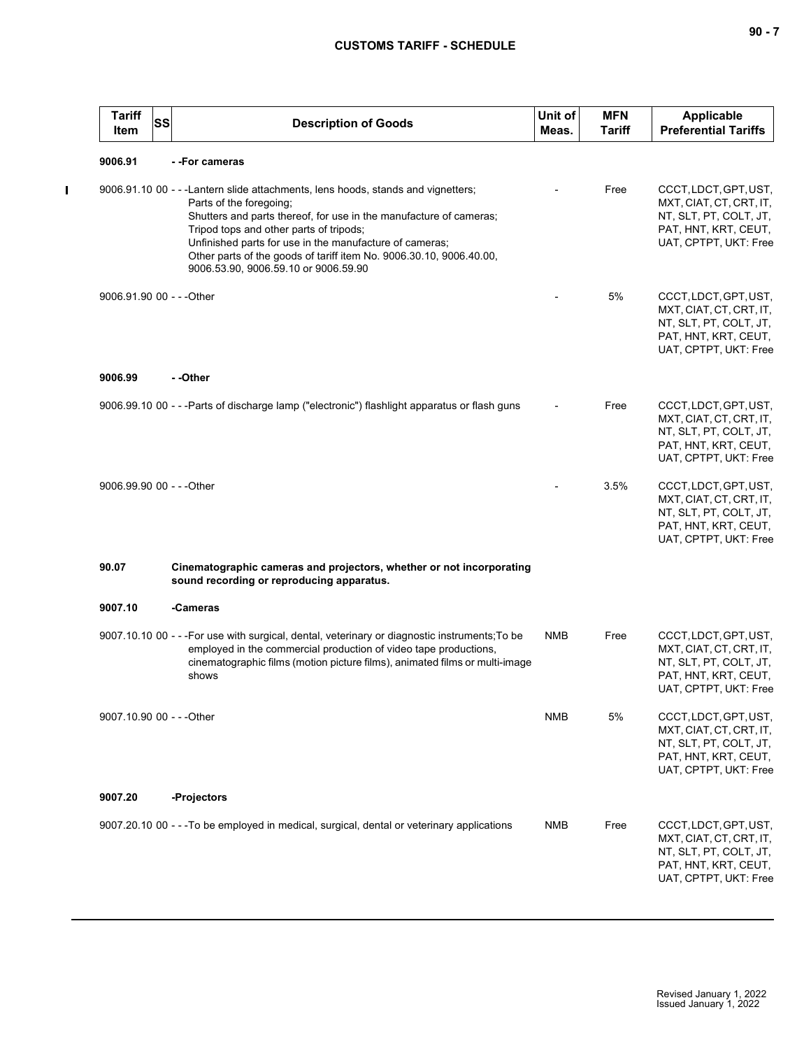| <b>Tariff</b><br><b>SS</b><br>Item | <b>Description of Goods</b>                                                                                                                                                                                                                                                                                                                                                                             | Unit of<br>Meas. | <b>MFN</b><br><b>Tariff</b> | <b>Applicable</b><br><b>Preferential Tariffs</b>                                                                            |
|------------------------------------|---------------------------------------------------------------------------------------------------------------------------------------------------------------------------------------------------------------------------------------------------------------------------------------------------------------------------------------------------------------------------------------------------------|------------------|-----------------------------|-----------------------------------------------------------------------------------------------------------------------------|
| 9006.91                            | --For cameras                                                                                                                                                                                                                                                                                                                                                                                           |                  |                             |                                                                                                                             |
|                                    | 9006.91.10 00 - - - Lantern slide attachments, lens hoods, stands and vignetters;<br>Parts of the foregoing;<br>Shutters and parts thereof, for use in the manufacture of cameras;<br>Tripod tops and other parts of tripods;<br>Unfinished parts for use in the manufacture of cameras;<br>Other parts of the goods of tariff item No. 9006.30.10, 9006.40.00,<br>9006.53.90, 9006.59.10 or 9006.59.90 |                  | Free                        | CCCT, LDCT, GPT, UST,<br>MXT, CIAT, CT, CRT, IT,<br>NT, SLT, PT, COLT, JT,<br>PAT, HNT, KRT, CEUT,<br>UAT, CPTPT, UKT: Free |
| 9006.91.90 00 - - - Other          |                                                                                                                                                                                                                                                                                                                                                                                                         |                  | 5%                          | CCCT, LDCT, GPT, UST,<br>MXT, CIAT, CT, CRT, IT,<br>NT, SLT, PT, COLT, JT,<br>PAT, HNT, KRT, CEUT,<br>UAT, CPTPT, UKT: Free |
| 9006.99                            | - -Other                                                                                                                                                                                                                                                                                                                                                                                                |                  |                             |                                                                                                                             |
|                                    | 9006.99.10 00 - - - Parts of discharge lamp ("electronic") flashlight apparatus or flash guns                                                                                                                                                                                                                                                                                                           |                  | Free                        | CCCT, LDCT, GPT, UST,<br>MXT, CIAT, CT, CRT, IT,<br>NT, SLT, PT, COLT, JT,<br>PAT, HNT, KRT, CEUT,<br>UAT, CPTPT, UKT: Free |
| 9006.99.90 00 - - - Other          |                                                                                                                                                                                                                                                                                                                                                                                                         |                  | 3.5%                        | CCCT, LDCT, GPT, UST,<br>MXT, CIAT, CT, CRT, IT,<br>NT, SLT, PT, COLT, JT,<br>PAT, HNT, KRT, CEUT,<br>UAT, CPTPT, UKT: Free |
| 90.07                              | Cinematographic cameras and projectors, whether or not incorporating<br>sound recording or reproducing apparatus.                                                                                                                                                                                                                                                                                       |                  |                             |                                                                                                                             |
| 9007.10                            | -Cameras                                                                                                                                                                                                                                                                                                                                                                                                |                  |                             |                                                                                                                             |
|                                    | 9007.10.10 00 - - - For use with surgical, dental, veterinary or diagnostic instruments; To be<br>employed in the commercial production of video tape productions,<br>cinematographic films (motion picture films), animated films or multi-image<br>shows                                                                                                                                              | <b>NMB</b>       | Free                        | CCCT, LDCT, GPT, UST,<br>MXT, CIAT, CT, CRT, IT,<br>NT, SLT, PT, COLT, JT,<br>PAT, HNT, KRT, CEUT,<br>UAT, CPTPT, UKT: Free |
| 9007.10.90 00 - - - Other          |                                                                                                                                                                                                                                                                                                                                                                                                         | NMB              | 5%                          | CCCT, LDCT, GPT, UST,<br>MXT, CIAT, CT, CRT, IT,<br>NT, SLT, PT, COLT, JT,<br>PAT, HNT, KRT, CEUT,<br>UAT, CPTPT, UKT: Free |
| 9007.20                            | -Projectors                                                                                                                                                                                                                                                                                                                                                                                             |                  |                             |                                                                                                                             |
|                                    | 9007.20.10 00 - - - To be employed in medical, surgical, dental or veterinary applications                                                                                                                                                                                                                                                                                                              | NMB              | Free                        | CCCT, LDCT, GPT, UST,<br>MXT, CIAT, CT, CRT, IT,<br>NT, SLT, PT, COLT, JT,<br>PAT, HNT, KRT, CEUT,<br>UAT, CPTPT, UKT: Free |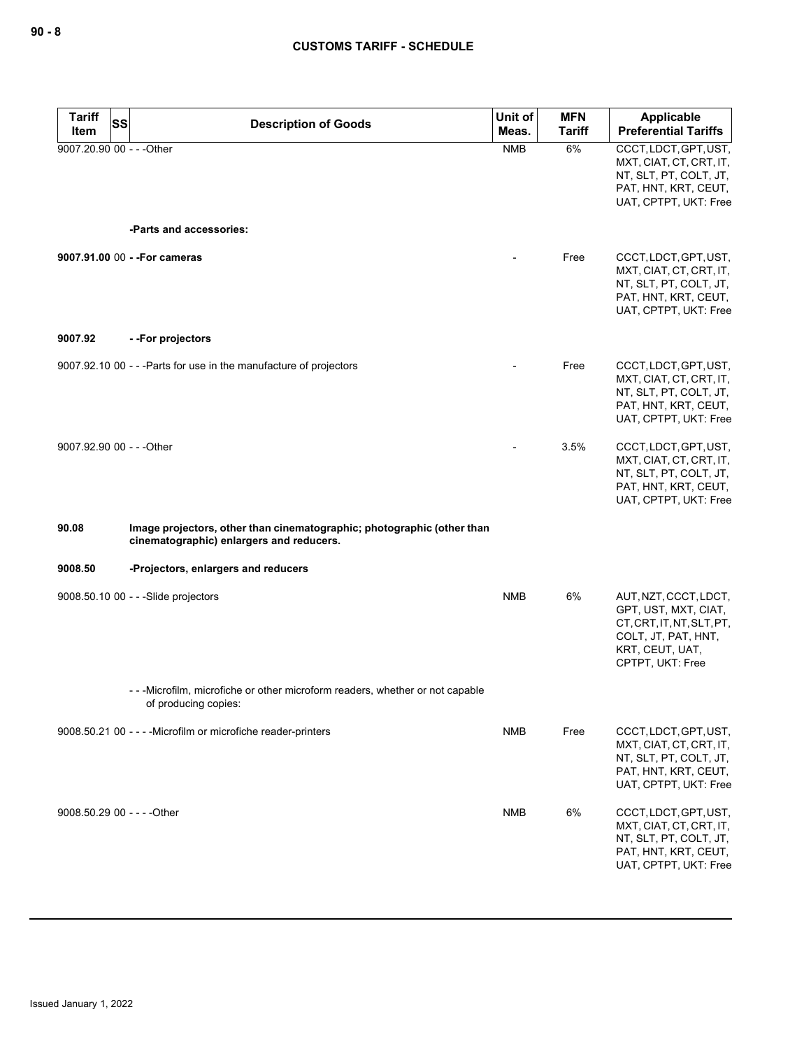| <b>Tariff</b><br>Item       | <b>SS</b><br><b>Description of Goods</b>                                                                           | Unit of<br>Meas. | <b>MFN</b><br><b>Tariff</b> | Applicable<br><b>Preferential Tariffs</b>                                                                                                |
|-----------------------------|--------------------------------------------------------------------------------------------------------------------|------------------|-----------------------------|------------------------------------------------------------------------------------------------------------------------------------------|
| 9007.20.90 00 - - - Other   |                                                                                                                    | <b>NMB</b>       | 6%                          | CCCT, LDCT, GPT, UST,<br>MXT, CIAT, CT, CRT, IT,<br>NT, SLT, PT, COLT, JT,<br>PAT, HNT, KRT, CEUT,<br>UAT, CPTPT, UKT: Free              |
|                             | -Parts and accessories:                                                                                            |                  |                             |                                                                                                                                          |
|                             | 9007.91.00 00 - - For cameras                                                                                      |                  | Free                        | CCCT, LDCT, GPT, UST,<br>MXT, CIAT, CT, CRT, IT,<br>NT, SLT, PT, COLT, JT,<br>PAT, HNT, KRT, CEUT,<br>UAT, CPTPT, UKT: Free              |
| 9007.92                     | --For projectors                                                                                                   |                  |                             |                                                                                                                                          |
|                             | 9007.92.10 00 - - - Parts for use in the manufacture of projectors                                                 |                  | Free                        | CCCT, LDCT, GPT, UST,<br>MXT, CIAT, CT, CRT, IT,<br>NT, SLT, PT, COLT, JT,<br>PAT, HNT, KRT, CEUT,<br>UAT, CPTPT, UKT: Free              |
| 9007.92.90 00 - - - Other   |                                                                                                                    |                  | 3.5%                        | CCCT, LDCT, GPT, UST,<br>MXT, CIAT, CT, CRT, IT,<br>NT, SLT, PT, COLT, JT,<br>PAT, HNT, KRT, CEUT,<br>UAT, CPTPT, UKT: Free              |
| 90.08                       | Image projectors, other than cinematographic; photographic (other than<br>cinematographic) enlargers and reducers. |                  |                             |                                                                                                                                          |
| 9008.50                     | -Projectors, enlargers and reducers                                                                                |                  |                             |                                                                                                                                          |
|                             | 9008.50.10 00 - - - Slide projectors                                                                               | <b>NMB</b>       | 6%                          | AUT, NZT, CCCT, LDCT,<br>GPT, UST, MXT, CIAT,<br>CT, CRT, IT, NT, SLT, PT,<br>COLT, JT, PAT, HNT,<br>KRT, CEUT, UAT,<br>CPTPT, UKT: Free |
|                             | -- Microfilm, microfiche or other microform readers, whether or not capable<br>of producing copies:                |                  |                             |                                                                                                                                          |
|                             | 9008.50.21 00 - - - - Microfilm or microfiche reader-printers                                                      | <b>NMB</b>       | Free                        | CCCT, LDCT, GPT, UST,<br>MXT, CIAT, CT, CRT, IT,<br>NT, SLT, PT, COLT, JT,<br>PAT, HNT, KRT, CEUT,<br>UAT, CPTPT, UKT: Free              |
| 9008.50.29 00 - - - - Other |                                                                                                                    | <b>NMB</b>       | 6%                          | CCCT, LDCT, GPT, UST,<br>MXT, CIAT, CT, CRT, IT,<br>NT, SLT, PT, COLT, JT,<br>PAT, HNT, KRT, CEUT,<br>UAT, CPTPT, UKT: Free              |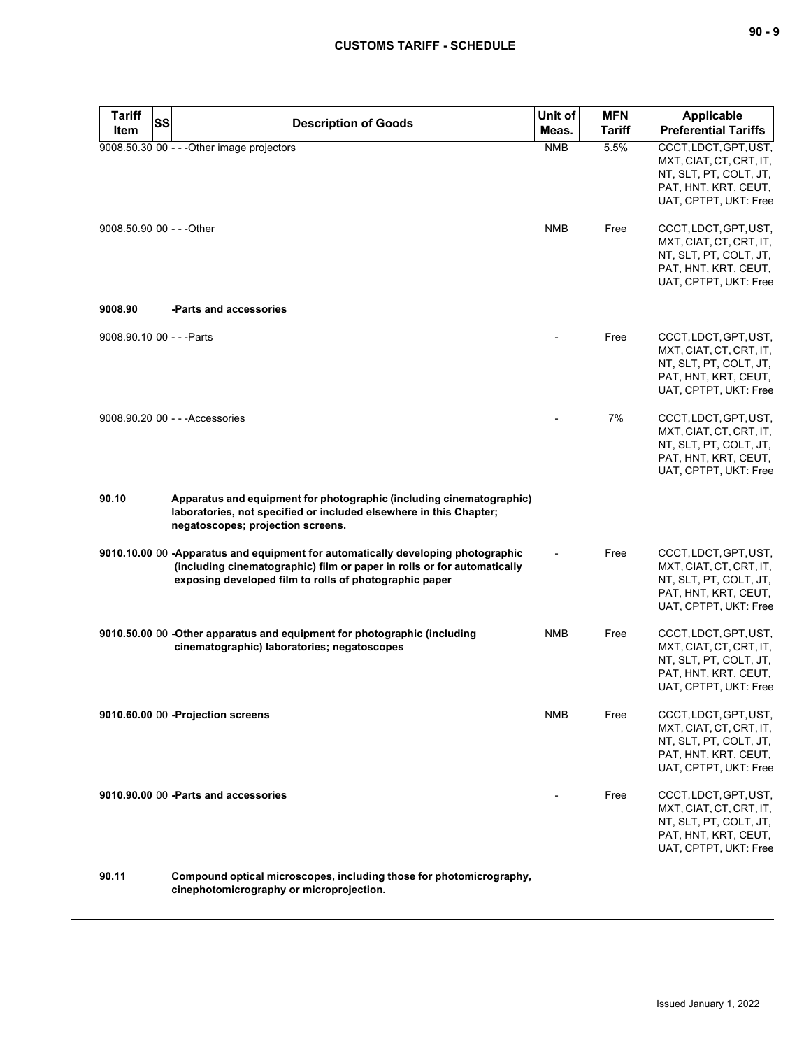| × |  | . . |
|---|--|-----|
|---|--|-----|

| <b>Tariff</b><br><b>SS</b> | <b>Description of Goods</b>                                                                                                                                                                                           | Unit of    | <b>MFN</b>    | <b>Applicable</b>                                                                                                           |
|----------------------------|-----------------------------------------------------------------------------------------------------------------------------------------------------------------------------------------------------------------------|------------|---------------|-----------------------------------------------------------------------------------------------------------------------------|
| Item                       |                                                                                                                                                                                                                       | Meas.      | <b>Tariff</b> | <b>Preferential Tariffs</b>                                                                                                 |
|                            | 9008.50.30 00 - - - Other image projectors                                                                                                                                                                            | <b>NMB</b> | 5.5%          | CCCT, LDCT, GPT, UST,<br>MXT, CIAT, CT, CRT, IT,<br>NT, SLT, PT, COLT, JT,<br>PAT, HNT, KRT, CEUT,<br>UAT, CPTPT, UKT: Free |
| 9008.50.90 00 - - - Other  |                                                                                                                                                                                                                       | <b>NMB</b> | Free          | CCCT, LDCT, GPT, UST,<br>MXT, CIAT, CT, CRT, IT,<br>NT, SLT, PT, COLT, JT,<br>PAT, HNT, KRT, CEUT,<br>UAT, CPTPT, UKT: Free |
| 9008.90                    | -Parts and accessories                                                                                                                                                                                                |            |               |                                                                                                                             |
| 9008.90.10 00 - - - Parts  |                                                                                                                                                                                                                       |            | Free          | CCCT, LDCT, GPT, UST,<br>MXT, CIAT, CT, CRT, IT,<br>NT, SLT, PT, COLT, JT,<br>PAT, HNT, KRT, CEUT,<br>UAT, CPTPT, UKT: Free |
|                            | 9008.90.20 00 - - - Accessories                                                                                                                                                                                       |            | 7%            | CCCT, LDCT, GPT, UST,<br>MXT, CIAT, CT, CRT, IT,<br>NT, SLT, PT, COLT, JT,<br>PAT, HNT, KRT, CEUT,<br>UAT, CPTPT, UKT: Free |
| 90.10                      | Apparatus and equipment for photographic (including cinematographic)<br>laboratories, not specified or included elsewhere in this Chapter;<br>negatoscopes; projection screens.                                       |            |               |                                                                                                                             |
|                            | 9010.10.00 00 -Apparatus and equipment for automatically developing photographic<br>(including cinematographic) film or paper in rolls or for automatically<br>exposing developed film to rolls of photographic paper |            | Free          | CCCT, LDCT, GPT, UST,<br>MXT, CIAT, CT, CRT, IT,<br>NT, SLT, PT, COLT, JT,<br>PAT, HNT, KRT, CEUT,<br>UAT, CPTPT, UKT: Free |
|                            | 9010.50.00 00 -Other apparatus and equipment for photographic (including<br>cinematographic) laboratories; negatoscopes                                                                                               | <b>NMB</b> | Free          | CCCT, LDCT, GPT, UST,<br>MXT, CIAT, CT, CRT, IT,<br>NT, SLT, PT, COLT, JT,<br>PAT, HNT, KRT, CEUT,<br>UAT, CPTPT, UKT: Free |
|                            | 9010.60.00 00 -Projection screens                                                                                                                                                                                     | <b>NMB</b> | Free          | CCCT, LDCT, GPT, UST,<br>MXT, CIAT, CT, CRT, IT,<br>NT, SLT, PT, COLT, JT,<br>PAT, HNT, KRT, CEUT,<br>UAT, CPTPT, UKT: Free |
|                            | 9010.90.00 00 - Parts and accessories                                                                                                                                                                                 |            | Free          | CCCT, LDCT, GPT, UST,<br>MXT, CIAT, CT, CRT, IT,<br>NT, SLT, PT, COLT, JT,<br>PAT, HNT, KRT, CEUT,<br>UAT, CPTPT, UKT: Free |

**90.11 Compound optical microscopes, including those for photomicrography, cinephotomicrography or microprojection.**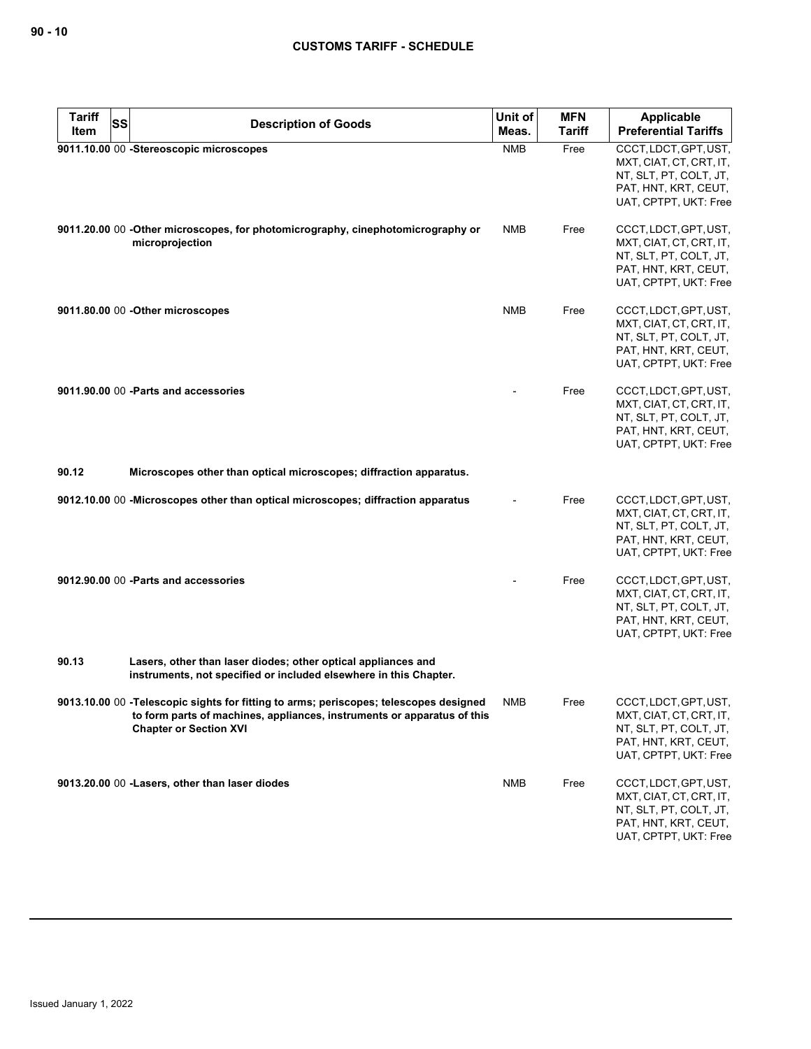| <b>Tariff</b> | <b>SS</b><br><b>Description of Goods</b>                                                                                                                                                          | Unit of    | <b>MFN</b>    | Applicable                                                                                                                  |
|---------------|---------------------------------------------------------------------------------------------------------------------------------------------------------------------------------------------------|------------|---------------|-----------------------------------------------------------------------------------------------------------------------------|
| Item          |                                                                                                                                                                                                   | Meas.      | <b>Tariff</b> | <b>Preferential Tariffs</b>                                                                                                 |
|               | 9011.10.00 00 -Stereoscopic microscopes                                                                                                                                                           | <b>NMB</b> | Free          | CCCT, LDCT, GPT, UST,<br>MXT, CIAT, CT, CRT, IT,<br>NT, SLT, PT, COLT, JT,<br>PAT, HNT, KRT, CEUT,<br>UAT, CPTPT, UKT: Free |
|               | 9011.20.00 00 -Other microscopes, for photomicrography, cinephotomicrography or<br>microprojection                                                                                                | NMB        | Free          | CCCT, LDCT, GPT, UST,<br>MXT, CIAT, CT, CRT, IT,<br>NT, SLT, PT, COLT, JT,<br>PAT, HNT, KRT, CEUT,<br>UAT, CPTPT, UKT: Free |
|               | 9011.80.00 00 - Other microscopes                                                                                                                                                                 | <b>NMB</b> | Free          | CCCT, LDCT, GPT, UST,<br>MXT, CIAT, CT, CRT, IT,<br>NT, SLT, PT, COLT, JT,<br>PAT, HNT, KRT, CEUT,<br>UAT, CPTPT, UKT: Free |
|               | 9011.90.00 00 - Parts and accessories                                                                                                                                                             |            | Free          | CCCT, LDCT, GPT, UST,<br>MXT, CIAT, CT, CRT, IT,<br>NT, SLT, PT, COLT, JT,<br>PAT, HNT, KRT, CEUT,<br>UAT, CPTPT, UKT: Free |
| 90.12         | Microscopes other than optical microscopes; diffraction apparatus.                                                                                                                                |            |               |                                                                                                                             |
|               | 9012.10.00 00 -Microscopes other than optical microscopes; diffraction apparatus                                                                                                                  |            | Free          | CCCT, LDCT, GPT, UST,<br>MXT, CIAT, CT, CRT, IT,<br>NT, SLT, PT, COLT, JT,<br>PAT, HNT, KRT, CEUT,<br>UAT, CPTPT, UKT: Free |
|               | 9012.90.00 00 - Parts and accessories                                                                                                                                                             |            | Free          | CCCT, LDCT, GPT, UST,<br>MXT, CIAT, CT, CRT, IT,<br>NT, SLT, PT, COLT, JT,<br>PAT, HNT, KRT, CEUT,<br>UAT, CPTPT, UKT: Free |
| 90.13         | Lasers, other than laser diodes; other optical appliances and<br>instruments, not specified or included elsewhere in this Chapter.                                                                |            |               |                                                                                                                             |
|               | 9013.10.00 00 -Telescopic sights for fitting to arms; periscopes; telescopes designed<br>to form parts of machines, appliances, instruments or apparatus of this<br><b>Chapter or Section XVI</b> | NMB        | Free          | CCCT, LDCT, GPT, UST,<br>MXT, CIAT, CT, CRT, IT,<br>NT, SLT, PT, COLT, JT,<br>PAT, HNT, KRT, CEUT,<br>UAT, CPTPT, UKT: Free |
|               | 9013.20.00 00 -Lasers, other than laser diodes                                                                                                                                                    | <b>NMB</b> | Free          | CCCT, LDCT, GPT, UST,<br>MXT, CIAT, CT, CRT, IT,<br>NT, SLT, PT, COLT, JT,<br>PAT, HNT, KRT, CEUT,<br>UAT, CPTPT, UKT: Free |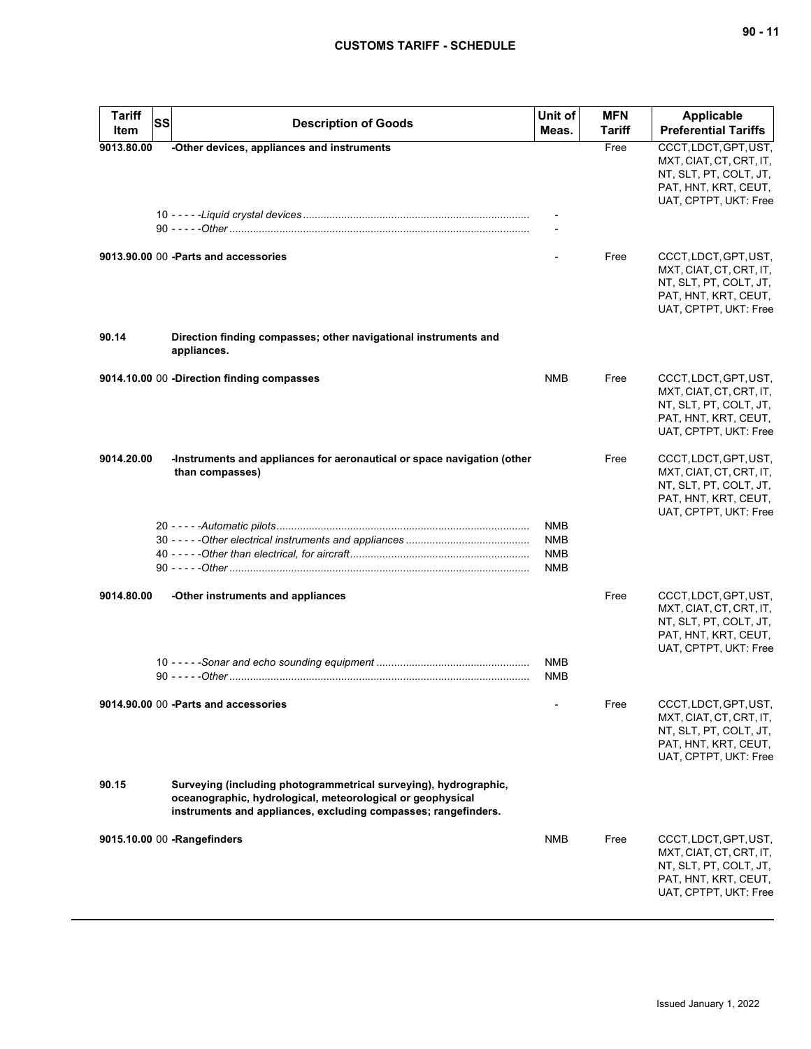| Tariff<br>Item | <b>SS</b> | <b>Description of Goods</b>                                                                                                                                                                      | Unit of<br>Meas.                       | <b>MFN</b><br><b>Tariff</b> | Applicable<br><b>Preferential Tariffs</b>                                                                                   |
|----------------|-----------|--------------------------------------------------------------------------------------------------------------------------------------------------------------------------------------------------|----------------------------------------|-----------------------------|-----------------------------------------------------------------------------------------------------------------------------|
| 9013.80.00     |           | -Other devices, appliances and instruments                                                                                                                                                       |                                        | Free                        | CCCT, LDCT, GPT, UST,<br>MXT, CIAT, CT, CRT, IT,<br>NT, SLT, PT, COLT, JT,<br>PAT, HNT, KRT, CEUT,<br>UAT, CPTPT, UKT: Free |
|                |           |                                                                                                                                                                                                  |                                        |                             |                                                                                                                             |
|                |           | 9013.90.00 00 - Parts and accessories                                                                                                                                                            |                                        | Free                        | CCCT, LDCT, GPT, UST,<br>MXT, CIAT, CT, CRT, IT,<br>NT, SLT, PT, COLT, JT,<br>PAT, HNT, KRT, CEUT,<br>UAT, CPTPT, UKT: Free |
| 90.14          |           | Direction finding compasses; other navigational instruments and<br>appliances.                                                                                                                   |                                        |                             |                                                                                                                             |
|                |           | 9014.10.00 00 -Direction finding compasses                                                                                                                                                       | <b>NMB</b>                             | Free                        | CCCT, LDCT, GPT, UST,<br>MXT, CIAT, CT, CRT, IT,<br>NT, SLT, PT, COLT, JT,<br>PAT, HNT, KRT, CEUT,<br>UAT, CPTPT, UKT: Free |
| 9014.20.00     |           | -Instruments and appliances for aeronautical or space navigation (other<br>than compasses)                                                                                                       |                                        | Free                        | CCCT, LDCT, GPT, UST,<br>MXT, CIAT, CT, CRT, IT,<br>NT, SLT, PT, COLT, JT,<br>PAT, HNT, KRT, CEUT,<br>UAT, CPTPT, UKT: Free |
|                |           |                                                                                                                                                                                                  | NMB<br>NMB<br><b>NMB</b><br><b>NMB</b> |                             |                                                                                                                             |
| 9014.80.00     |           | -Other instruments and appliances                                                                                                                                                                |                                        | Free                        | CCCT, LDCT, GPT, UST,<br>MXT, CIAT, CT, CRT, IT,<br>NT, SLT, PT, COLT, JT,<br>PAT, HNT, KRT, CEUT,<br>UAT, CPTPT, UKT: Free |
|                |           |                                                                                                                                                                                                  | <b>NMB</b><br>NMB                      |                             |                                                                                                                             |
|                |           | 9014.90.00 00 -Parts and accessories                                                                                                                                                             |                                        | Free                        | CCCT, LDCT, GPT, UST,<br>MXT, CIAT, CT, CRT, IT,<br>NT, SLT, PT, COLT, JT,<br>PAT, HNT, KRT, CEUT,<br>UAT, CPTPT, UKT: Free |
| 90.15          |           | Surveying (including photogrammetrical surveying), hydrographic,<br>oceanographic, hydrological, meteorological or geophysical<br>instruments and appliances, excluding compasses; rangefinders. |                                        |                             |                                                                                                                             |
|                |           | 9015.10.00 00 -Rangefinders                                                                                                                                                                      | <b>NMB</b>                             | Free                        | CCCT, LDCT, GPT, UST,<br>MXT, CIAT, CT, CRT, IT,<br>NT, SLT, PT, COLT, JT,<br>PAT, HNT, KRT, CEUT,<br>UAT, CPTPT, UKT: Free |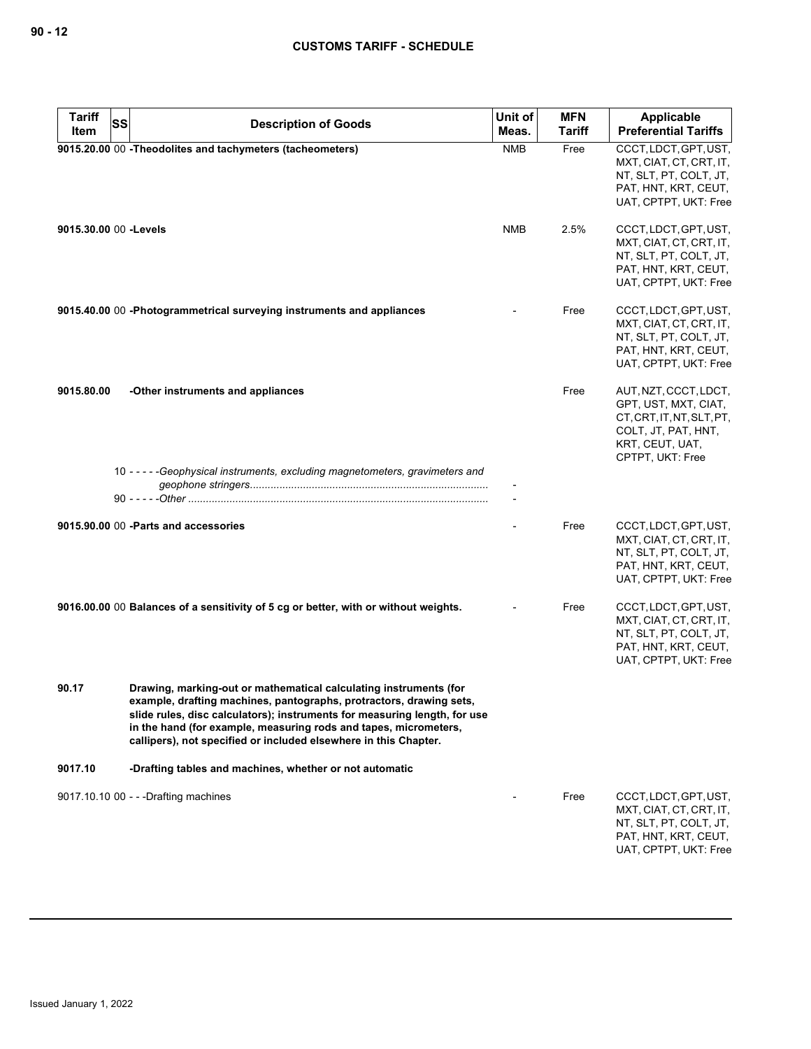| <b>Tariff</b><br>SS<br>Item | <b>Description of Goods</b>                                                                                                                                                                                                                                                                                                                                   | Unit of<br>Meas. | <b>MFN</b><br>Tariff | <b>Applicable</b><br><b>Preferential Tariffs</b>                                                                                         |
|-----------------------------|---------------------------------------------------------------------------------------------------------------------------------------------------------------------------------------------------------------------------------------------------------------------------------------------------------------------------------------------------------------|------------------|----------------------|------------------------------------------------------------------------------------------------------------------------------------------|
|                             | 9015.20.00 00 - Theodolites and tachymeters (tacheometers)                                                                                                                                                                                                                                                                                                    | <b>NMB</b>       | Free                 | CCCT, LDCT, GPT, UST,<br>MXT, CIAT, CT, CRT, IT,<br>NT, SLT, PT, COLT, JT,<br>PAT, HNT, KRT, CEUT,<br>UAT, CPTPT, UKT: Free              |
| 9015.30.00 00 -Levels       |                                                                                                                                                                                                                                                                                                                                                               | <b>NMB</b>       | 2.5%                 | CCCT, LDCT, GPT, UST,<br>MXT, CIAT, CT, CRT, IT,<br>NT, SLT, PT, COLT, JT,<br>PAT, HNT, KRT, CEUT,<br>UAT, CPTPT, UKT: Free              |
|                             | 9015.40.00 00 -Photogrammetrical surveying instruments and appliances                                                                                                                                                                                                                                                                                         |                  | Free                 | CCCT, LDCT, GPT, UST,<br>MXT, CIAT, CT, CRT, IT,<br>NT, SLT, PT, COLT, JT,<br>PAT, HNT, KRT, CEUT,<br>UAT, CPTPT, UKT: Free              |
| 9015.80.00                  | -Other instruments and appliances                                                                                                                                                                                                                                                                                                                             |                  | Free                 | AUT, NZT, CCCT, LDCT,<br>GPT, UST, MXT, CIAT,<br>CT, CRT, IT, NT, SLT, PT,<br>COLT, JT, PAT, HNT,<br>KRT, CEUT, UAT,<br>CPTPT, UKT: Free |
|                             | 10 - - - - - Geophysical instruments, excluding magnetometers, gravimeters and                                                                                                                                                                                                                                                                                |                  |                      |                                                                                                                                          |
|                             | 9015.90.00 00 - Parts and accessories                                                                                                                                                                                                                                                                                                                         |                  | Free                 | CCCT, LDCT, GPT, UST,<br>MXT, CIAT, CT, CRT, IT,<br>NT, SLT, PT, COLT, JT,<br>PAT, HNT, KRT, CEUT,<br>UAT, CPTPT, UKT: Free              |
|                             | 9016.00.00 00 Balances of a sensitivity of 5 cg or better, with or without weights.                                                                                                                                                                                                                                                                           |                  | Free                 | CCCT, LDCT, GPT, UST,<br>MXT, CIAT, CT, CRT, IT,<br>NT, SLT, PT, COLT, JT,<br>PAT, HNT, KRT, CEUT,<br>UAT, CPTPT, UKT: Free              |
| 90.17                       | Drawing, marking-out or mathematical calculating instruments (for<br>example, drafting machines, pantographs, protractors, drawing sets,<br>slide rules, disc calculators); instruments for measuring length, for use<br>in the hand (for example, measuring rods and tapes, micrometers,<br>callipers), not specified or included elsewhere in this Chapter. |                  |                      |                                                                                                                                          |
| 9017.10                     | -Drafting tables and machines, whether or not automatic                                                                                                                                                                                                                                                                                                       |                  |                      |                                                                                                                                          |
|                             | 9017.10.10 00 - - - Drafting machines                                                                                                                                                                                                                                                                                                                         |                  | Free                 | CCCT, LDCT, GPT, UST,<br>MXT, CIAT, CT, CRT, IT,<br>NT, SLT, PT, COLT, JT,<br>PAT, HNT, KRT, CEUT,<br>UAT, CPTPT, UKT: Free              |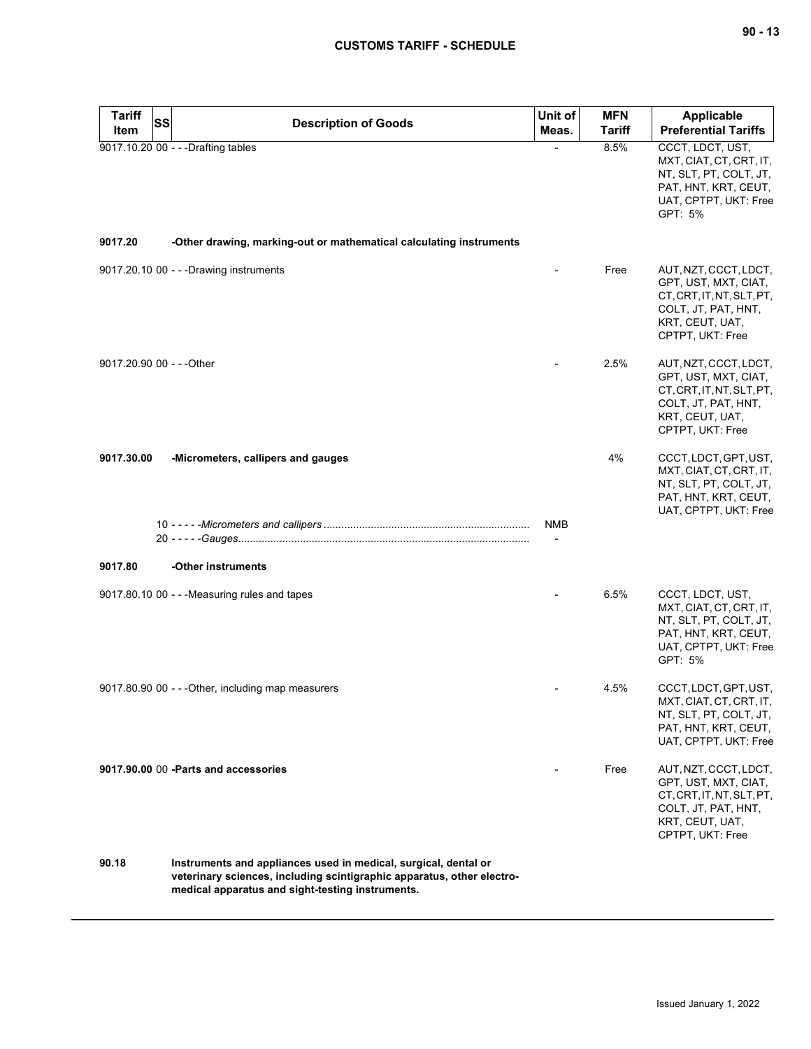| <b>Tariff</b>             | SS | <b>Description of Goods</b>                                                                                                                                                                   | Unit of                                | <b>MFN</b>    | <b>Applicable</b>                                                                                                                        |
|---------------------------|----|-----------------------------------------------------------------------------------------------------------------------------------------------------------------------------------------------|----------------------------------------|---------------|------------------------------------------------------------------------------------------------------------------------------------------|
| Item                      |    |                                                                                                                                                                                               | Meas.                                  | <b>Tariff</b> | <b>Preferential Tariffs</b>                                                                                                              |
|                           |    | 9017.10.20 00 - - - Drafting tables                                                                                                                                                           |                                        | 8.5%          | CCCT, LDCT, UST,<br>MXT, CIAT, CT, CRT, IT,<br>NT, SLT, PT, COLT, JT,<br>PAT, HNT, KRT, CEUT,<br>UAT, CPTPT, UKT: Free<br>GPT: 5%        |
| 9017.20                   |    | -Other drawing, marking-out or mathematical calculating instruments                                                                                                                           |                                        |               |                                                                                                                                          |
|                           |    | 9017.20.10 00 - - - Drawing instruments                                                                                                                                                       |                                        | Free          | AUT, NZT, CCCT, LDCT,<br>GPT, UST, MXT, CIAT,<br>CT, CRT, IT, NT, SLT, PT,<br>COLT, JT, PAT, HNT,<br>KRT, CEUT, UAT,<br>CPTPT, UKT: Free |
| 9017.20.90 00 - - - Other |    |                                                                                                                                                                                               |                                        | 2.5%          | AUT, NZT, CCCT, LDCT,<br>GPT, UST, MXT, CIAT,<br>CT, CRT, IT, NT, SLT, PT,<br>COLT, JT, PAT, HNT,<br>KRT, CEUT, UAT,<br>CPTPT, UKT: Free |
| 9017.30.00                |    | -Micrometers, callipers and gauges                                                                                                                                                            |                                        | 4%            | CCCT, LDCT, GPT, UST,<br>MXT, CIAT, CT, CRT, IT,<br>NT, SLT, PT, COLT, JT,<br>PAT, HNT, KRT, CEUT,<br>UAT, CPTPT, UKT: Free              |
|                           |    |                                                                                                                                                                                               | <b>NMB</b><br>$\overline{\phantom{a}}$ |               |                                                                                                                                          |
| 9017.80                   |    | -Other instruments                                                                                                                                                                            |                                        |               |                                                                                                                                          |
|                           |    | 9017.80.10 00 - - - Measuring rules and tapes                                                                                                                                                 |                                        | 6.5%          | CCCT, LDCT, UST,<br>MXT, CIAT, CT, CRT, IT,<br>NT, SLT, PT, COLT, JT,<br>PAT, HNT, KRT, CEUT,<br>UAT, CPTPT, UKT: Free<br>GPT: 5%        |
|                           |    | 9017.80.90 00 - - - Other, including map measurers                                                                                                                                            |                                        | 4.5%          | CCCT, LDCT, GPT, UST,<br>MXT, CIAT, CT, CRT, IT,<br>NT, SLT, PT, COLT, JT,<br>PAT, HNT, KRT, CEUT,<br>UAT, CPTPT, UKT: Free              |
|                           |    | 9017.90.00 00 - Parts and accessories                                                                                                                                                         |                                        | Free          | AUT, NZT, CCCT, LDCT,<br>GPT, UST, MXT, CIAT,<br>CT, CRT, IT, NT, SLT, PT,<br>COLT, JT, PAT, HNT,<br>KRT, CEUT, UAT,<br>CPTPT, UKT: Free |
| 90.18                     |    | Instruments and appliances used in medical, surgical, dental or<br>veterinary sciences, including scintigraphic apparatus, other electro-<br>medical apparatus and sight-testing instruments. |                                        |               |                                                                                                                                          |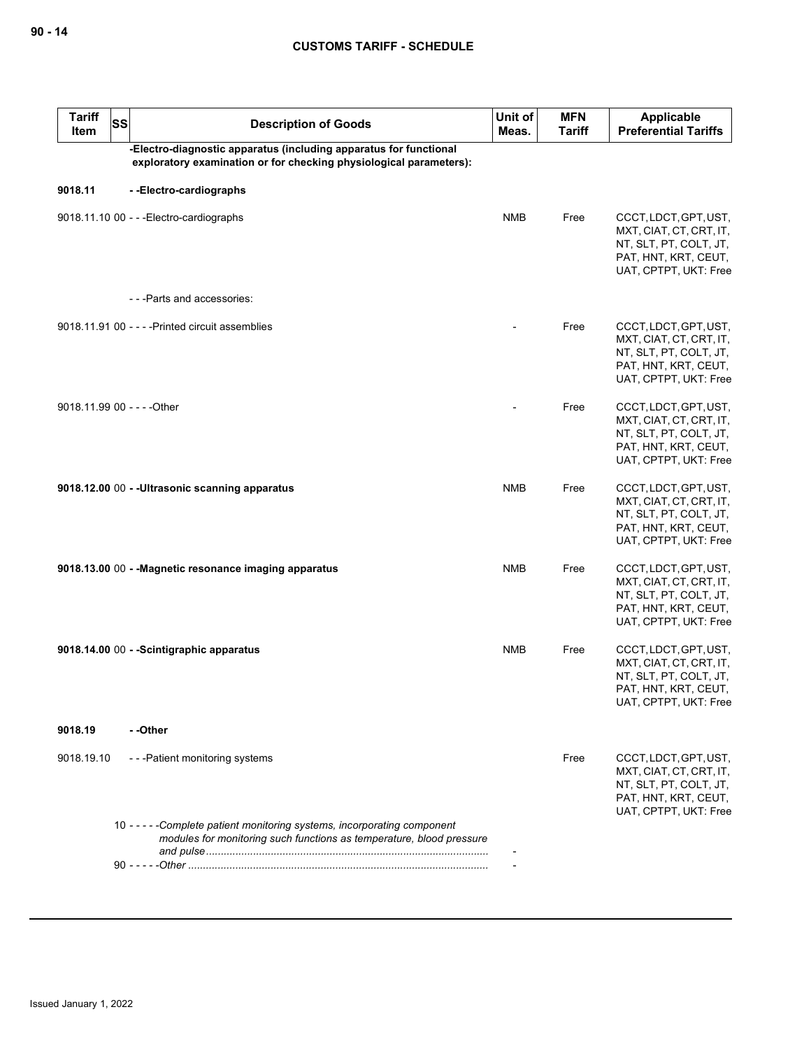| <b>Tariff</b><br><b>Item</b> | <b>SS</b> | <b>Description of Goods</b>                                                                                                                       | Unit of<br>Meas. | <b>MFN</b><br><b>Tariff</b> | <b>Applicable</b><br><b>Preferential Tariffs</b>                                                                            |
|------------------------------|-----------|---------------------------------------------------------------------------------------------------------------------------------------------------|------------------|-----------------------------|-----------------------------------------------------------------------------------------------------------------------------|
|                              |           | -Electro-diagnostic apparatus (including apparatus for functional<br>exploratory examination or for checking physiological parameters):           |                  |                             |                                                                                                                             |
| 9018.11                      |           | --Electro-cardiographs                                                                                                                            |                  |                             |                                                                                                                             |
|                              |           | 9018.11.10 00 - - - Electro-cardiographs                                                                                                          | <b>NMB</b>       | Free                        | CCCT, LDCT, GPT, UST,<br>MXT, CIAT, CT, CRT, IT,<br>NT, SLT, PT, COLT, JT,<br>PAT, HNT, KRT, CEUT,<br>UAT, CPTPT, UKT: Free |
|                              |           | - - - Parts and accessories:                                                                                                                      |                  |                             |                                                                                                                             |
|                              |           | 9018.11.91 00 - - - - Printed circuit assemblies                                                                                                  |                  | Free                        | CCCT, LDCT, GPT, UST,<br>MXT, CIAT, CT, CRT, IT,<br>NT, SLT, PT, COLT, JT,<br>PAT, HNT, KRT, CEUT,<br>UAT, CPTPT, UKT: Free |
| 9018.11.99 00 - - - - Other  |           |                                                                                                                                                   |                  | Free                        | CCCT, LDCT, GPT, UST,<br>MXT, CIAT, CT, CRT, IT,<br>NT, SLT, PT, COLT, JT,<br>PAT, HNT, KRT, CEUT,<br>UAT, CPTPT, UKT: Free |
|                              |           | 9018.12.00 00 - - Ultrasonic scanning apparatus                                                                                                   | <b>NMB</b>       | Free                        | CCCT, LDCT, GPT, UST,<br>MXT, CIAT, CT, CRT, IT,<br>NT, SLT, PT, COLT, JT,<br>PAT, HNT, KRT, CEUT,<br>UAT, CPTPT, UKT: Free |
|                              |           | 9018.13.00 00 - - Magnetic resonance imaging apparatus                                                                                            | <b>NMB</b>       | Free                        | CCCT, LDCT, GPT, UST,<br>MXT, CIAT, CT, CRT, IT,<br>NT, SLT, PT, COLT, JT,<br>PAT, HNT, KRT, CEUT,<br>UAT, CPTPT, UKT: Free |
|                              |           | 9018.14.00 00 - -Scintigraphic apparatus                                                                                                          | <b>NMB</b>       | Free                        | CCCT, LDCT, GPT, UST,<br>MXT, CIAT, CT, CRT, IT,<br>NT, SLT, PT, COLT, JT,<br>PAT, HNT, KRT, CEUT,<br>UAT, CPTPT, UKT: Free |
| 9018.19                      |           | - -Other                                                                                                                                          |                  |                             |                                                                                                                             |
| 9018.19.10                   |           | - - - Patient monitoring systems                                                                                                                  |                  | Free                        | CCCT, LDCT, GPT, UST,<br>MXT, CIAT, CT, CRT, IT,<br>NT, SLT, PT, COLT, JT,<br>PAT, HNT, KRT, CEUT,<br>UAT, CPTPT, UKT: Free |
|                              |           | 10 - - - - - Complete patient monitoring systems, incorporating component<br>modules for monitoring such functions as temperature, blood pressure |                  |                             |                                                                                                                             |
|                              |           |                                                                                                                                                   |                  |                             |                                                                                                                             |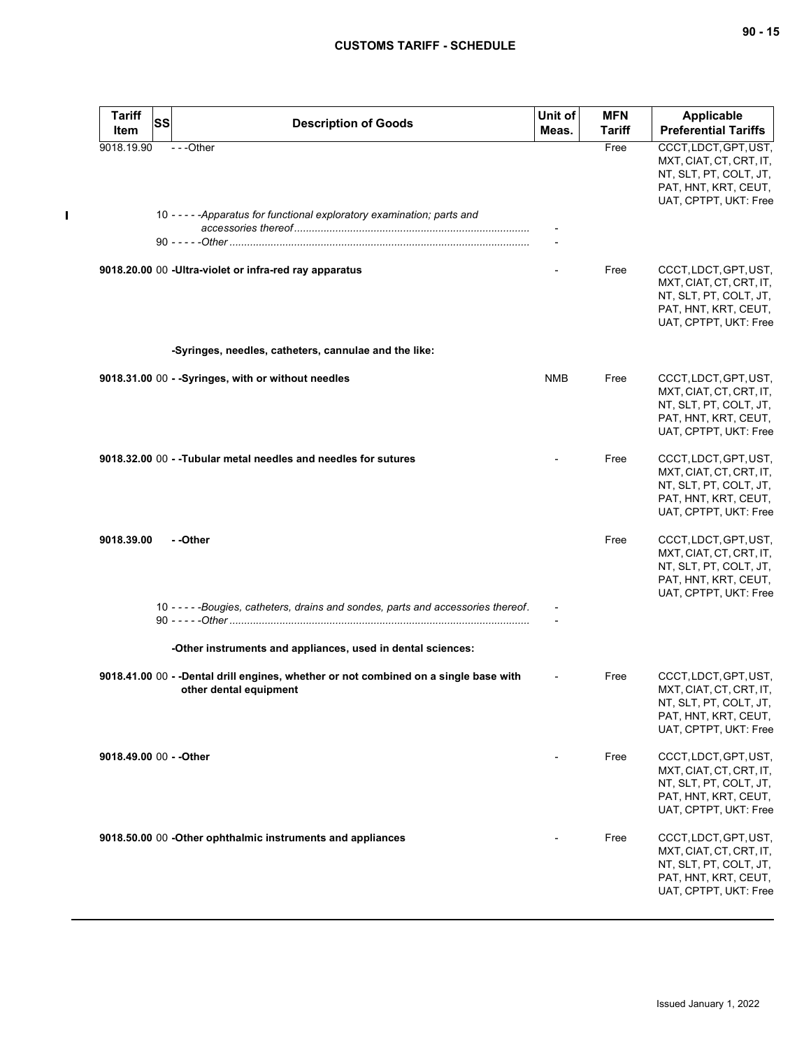| <b>Tariff</b>           | <b>SS</b> | <b>Description of Goods</b>                                                                                    | Unit of | <b>MFN</b>    | Applicable                                                                                                                  |
|-------------------------|-----------|----------------------------------------------------------------------------------------------------------------|---------|---------------|-----------------------------------------------------------------------------------------------------------------------------|
| Item                    |           |                                                                                                                | Meas.   | <b>Tariff</b> | <b>Preferential Tariffs</b>                                                                                                 |
| 9018.19.90              | ---Other  |                                                                                                                |         | Free          | CCCT, LDCT, GPT, UST,<br>MXT, CIAT, CT, CRT, IT,<br>NT, SLT, PT, COLT, JT,<br>PAT, HNT, KRT, CEUT,<br>UAT, CPTPT, UKT: Free |
|                         |           | 10 - - - - - Apparatus for functional exploratory examination; parts and                                       |         |               |                                                                                                                             |
|                         |           | 9018.20.00 00 - Ultra-violet or infra-red ray apparatus                                                        |         | Free          | CCCT, LDCT, GPT, UST,<br>MXT, CIAT, CT, CRT, IT,<br>NT, SLT, PT, COLT, JT,<br>PAT, HNT, KRT, CEUT,<br>UAT, CPTPT, UKT: Free |
|                         |           | -Syringes, needles, catheters, cannulae and the like:                                                          |         |               |                                                                                                                             |
|                         |           | 9018.31.00 00 - -Syringes, with or without needles                                                             | NMB     | Free          | CCCT, LDCT, GPT, UST,<br>MXT, CIAT, CT, CRT, IT,<br>NT, SLT, PT, COLT, JT,<br>PAT, HNT, KRT, CEUT,<br>UAT, CPTPT, UKT: Free |
|                         |           | 9018.32.00 00 - -Tubular metal needles and needles for sutures                                                 |         | Free          | CCCT, LDCT, GPT, UST,<br>MXT, CIAT, CT, CRT, IT,<br>NT, SLT, PT, COLT, JT,<br>PAT, HNT, KRT, CEUT,<br>UAT, CPTPT, UKT: Free |
| 9018.39.00              | - -Other  |                                                                                                                |         | Free          | CCCT, LDCT, GPT, UST,<br>MXT, CIAT, CT, CRT, IT,<br>NT, SLT, PT, COLT, JT,<br>PAT, HNT, KRT, CEUT,<br>UAT, CPTPT, UKT: Free |
|                         |           | 10 - - - - - Bougies, catheters, drains and sondes, parts and accessories thereof.                             |         |               |                                                                                                                             |
|                         |           | -Other instruments and appliances, used in dental sciences:                                                    |         |               |                                                                                                                             |
|                         |           | 9018.41.00 00 - -Dental drill engines, whether or not combined on a single base with<br>other dental equipment |         | Free          | CCCT, LDCT, GPT, UST,<br>MXT, CIAT, CT, CRT, IT,<br>NT, SLT, PT, COLT, JT,<br>PAT, HNT, KRT, CEUT,<br>UAT, CPTPT, UKT: Free |
| 9018.49.00 00 - - Other |           |                                                                                                                |         | Free          | CCCT, LDCT, GPT, UST,<br>MXT, CIAT, CT, CRT, IT,<br>NT, SLT, PT, COLT, JT,<br>PAT, HNT, KRT, CEUT,<br>UAT, CPTPT, UKT: Free |
|                         |           | 9018.50.00 00 - Other ophthalmic instruments and appliances                                                    |         | Free          | CCCT, LDCT, GPT, UST,<br>MXT, CIAT, CT, CRT, IT,<br>NT, SLT, PT, COLT, JT,<br>PAT, HNT, KRT, CEUT,<br>UAT, CPTPT, UKT: Free |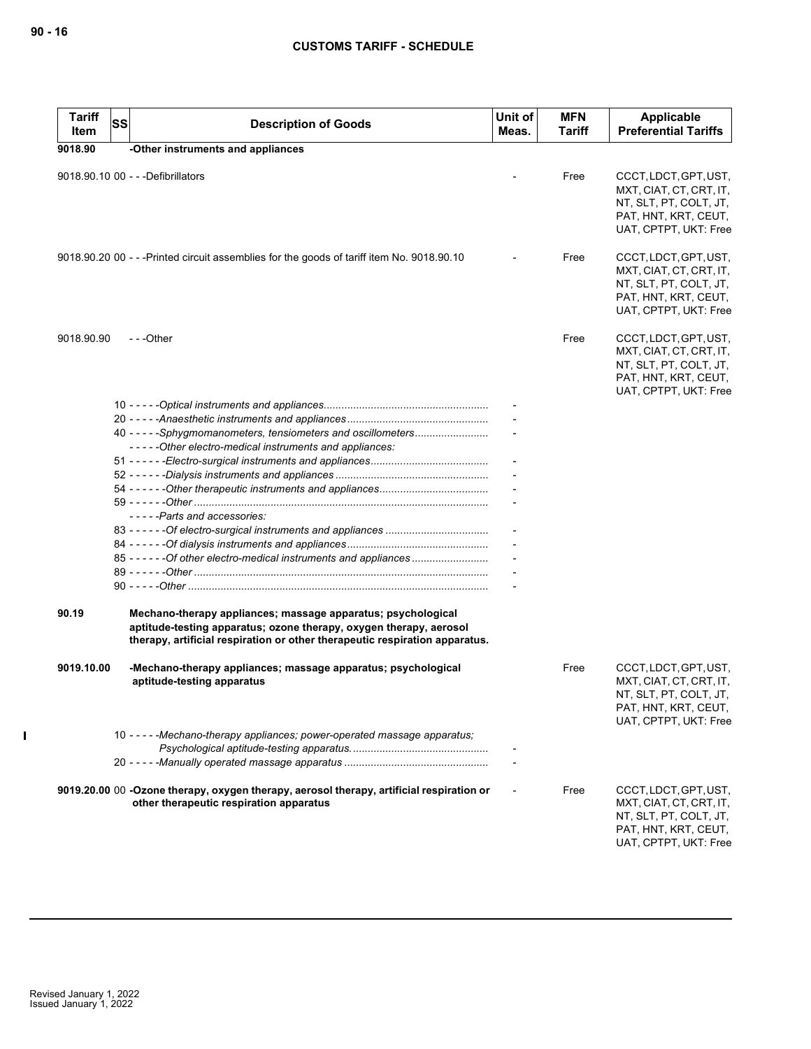| <b>Tariff</b><br>Item | <b>SS</b><br><b>Description of Goods</b>                                                                                                                                                                          | Unit of<br>Meas. | <b>MFN</b><br>Tariff | <b>Applicable</b><br><b>Preferential Tariffs</b>                                                                            |
|-----------------------|-------------------------------------------------------------------------------------------------------------------------------------------------------------------------------------------------------------------|------------------|----------------------|-----------------------------------------------------------------------------------------------------------------------------|
| 9018.90               | -Other instruments and appliances                                                                                                                                                                                 |                  |                      |                                                                                                                             |
|                       | 9018.90.10 00 - - - Defibrillators                                                                                                                                                                                |                  | Free                 | CCCT, LDCT, GPT, UST,<br>MXT, CIAT, CT, CRT, IT,<br>NT, SLT, PT, COLT, JT,<br>PAT, HNT, KRT, CEUT,<br>UAT, CPTPT, UKT: Free |
|                       | 9018.90.20 00 - - - Printed circuit assemblies for the goods of tariff item No. 9018.90.10                                                                                                                        |                  | Free                 | CCCT, LDCT, GPT, UST,<br>MXT, CIAT, CT, CRT, IT,<br>NT, SLT, PT, COLT, JT,<br>PAT, HNT, KRT, CEUT,<br>UAT, CPTPT, UKT: Free |
| 9018.90.90            | ---Other                                                                                                                                                                                                          |                  | Free                 | CCCT, LDCT, GPT, UST,<br>MXT, CIAT, CT, CRT, IT,<br>NT, SLT, PT, COLT, JT,<br>PAT, HNT, KRT, CEUT,<br>UAT, CPTPT, UKT: Free |
|                       |                                                                                                                                                                                                                   |                  |                      |                                                                                                                             |
|                       |                                                                                                                                                                                                                   |                  |                      |                                                                                                                             |
|                       | 40 - - - - - Sphygmomanometers, tensiometers and oscillometers                                                                                                                                                    |                  |                      |                                                                                                                             |
|                       | -----Other electro-medical instruments and appliances:                                                                                                                                                            |                  |                      |                                                                                                                             |
|                       |                                                                                                                                                                                                                   |                  |                      |                                                                                                                             |
|                       |                                                                                                                                                                                                                   |                  |                      |                                                                                                                             |
|                       |                                                                                                                                                                                                                   |                  |                      |                                                                                                                             |
|                       | -----Parts and accessories:                                                                                                                                                                                       |                  |                      |                                                                                                                             |
|                       |                                                                                                                                                                                                                   |                  |                      |                                                                                                                             |
|                       |                                                                                                                                                                                                                   |                  |                      |                                                                                                                             |
|                       | 85 - - - - - - Of other electro-medical instruments and appliances                                                                                                                                                |                  |                      |                                                                                                                             |
|                       |                                                                                                                                                                                                                   |                  |                      |                                                                                                                             |
|                       |                                                                                                                                                                                                                   |                  |                      |                                                                                                                             |
| 90.19                 | Mechano-therapy appliances; massage apparatus; psychological<br>aptitude-testing apparatus; ozone therapy, oxygen therapy, aerosol<br>therapy, artificial respiration or other therapeutic respiration apparatus. |                  |                      |                                                                                                                             |
| 9019.10.00            | -Mechano-therapy appliances; massage apparatus; psychological<br>aptitude-testing apparatus                                                                                                                       |                  | Free                 | CCCT, LDCT, GPT, UST,<br>MXT, CIAT, CT, CRT, IT,<br>NT, SLT, PT, COLT, JT,<br>PAT, HNT, KRT, CEUT,<br>UAT, CPTPT, UKT: Free |
|                       | 10 - - - - - Mechano-therapy appliances; power-operated massage apparatus;                                                                                                                                        |                  |                      |                                                                                                                             |
|                       |                                                                                                                                                                                                                   |                  |                      |                                                                                                                             |
|                       |                                                                                                                                                                                                                   |                  |                      |                                                                                                                             |
|                       | 9019.20.00 00 -Ozone therapy, oxygen therapy, aerosol therapy, artificial respiration or<br>other therapeutic respiration apparatus                                                                               |                  | Free                 | CCCT, LDCT, GPT, UST,<br>MXT, CIAT, CT, CRT, IT,<br>NT, SLT, PT, COLT, JT,<br>PAT, HNT, KRT, CEUT,<br>UAT, CPTPT, UKT: Free |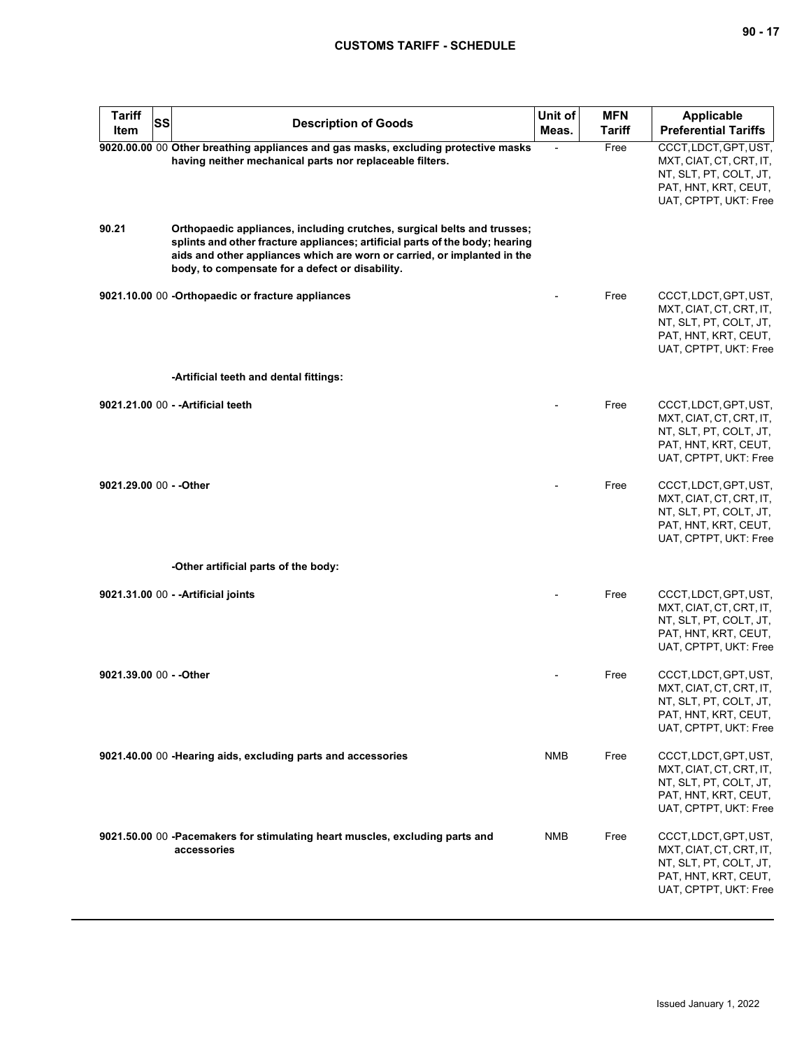| <b>Tariff</b><br>SS<br>Item | <b>Description of Goods</b>                                                                                                                                                                                                                                                            | Unit of<br>Meas. | <b>MFN</b><br>Tariff | Applicable<br><b>Preferential Tariffs</b>                                                                                   |
|-----------------------------|----------------------------------------------------------------------------------------------------------------------------------------------------------------------------------------------------------------------------------------------------------------------------------------|------------------|----------------------|-----------------------------------------------------------------------------------------------------------------------------|
|                             | 9020.00.00 00 Other breathing appliances and gas masks, excluding protective masks<br>having neither mechanical parts nor replaceable filters.                                                                                                                                         |                  | Free                 | CCCT, LDCT, GPT, UST,<br>MXT, CIAT, CT, CRT, IT,<br>NT, SLT, PT, COLT, JT,<br>PAT, HNT, KRT, CEUT,<br>UAT, CPTPT, UKT: Free |
| 90.21                       | Orthopaedic appliances, including crutches, surgical belts and trusses;<br>splints and other fracture appliances; artificial parts of the body; hearing<br>aids and other appliances which are worn or carried, or implanted in the<br>body, to compensate for a defect or disability. |                  |                      |                                                                                                                             |
|                             | 9021.10.00 00 -Orthopaedic or fracture appliances                                                                                                                                                                                                                                      |                  | Free                 | CCCT, LDCT, GPT, UST,<br>MXT, CIAT, CT, CRT, IT,<br>NT, SLT, PT, COLT, JT,<br>PAT, HNT, KRT, CEUT,<br>UAT, CPTPT, UKT: Free |
|                             | -Artificial teeth and dental fittings:                                                                                                                                                                                                                                                 |                  |                      |                                                                                                                             |
|                             | 9021.21.00 00 - - Artificial teeth                                                                                                                                                                                                                                                     |                  | Free                 | CCCT, LDCT, GPT, UST,<br>MXT, CIAT, CT, CRT, IT,<br>NT, SLT, PT, COLT, JT,<br>PAT, HNT, KRT, CEUT,<br>UAT, CPTPT, UKT: Free |
| 9021.29.00 00 - - Other     |                                                                                                                                                                                                                                                                                        |                  | Free                 | CCCT, LDCT, GPT, UST,<br>MXT, CIAT, CT, CRT, IT,<br>NT, SLT, PT, COLT, JT,<br>PAT, HNT, KRT, CEUT,<br>UAT, CPTPT, UKT: Free |
|                             | -Other artificial parts of the body:                                                                                                                                                                                                                                                   |                  |                      |                                                                                                                             |
|                             | 9021.31.00 00 - - Artificial joints                                                                                                                                                                                                                                                    |                  | Free                 | CCCT, LDCT, GPT, UST,<br>MXT, CIAT, CT, CRT, IT,<br>NT, SLT, PT, COLT, JT,<br>PAT, HNT, KRT, CEUT,<br>UAT, CPTPT, UKT: Free |
| 9021.39.00 00 - - Other     |                                                                                                                                                                                                                                                                                        |                  | Free                 | CCCT, LDCT, GPT, UST,<br>MXT, CIAT, CT, CRT, IT,<br>NT, SLT, PT, COLT, JT,<br>PAT, HNT, KRT, CEUT,<br>UAT, CPTPT, UKT: Free |
|                             | 9021.40.00 00 -Hearing aids, excluding parts and accessories                                                                                                                                                                                                                           | <b>NMB</b>       | Free                 | CCCT, LDCT, GPT, UST,<br>MXT, CIAT, CT, CRT, IT,<br>NT, SLT, PT, COLT, JT,<br>PAT, HNT, KRT, CEUT,<br>UAT, CPTPT, UKT: Free |
|                             | 9021.50.00 00 -Pacemakers for stimulating heart muscles, excluding parts and<br>accessories                                                                                                                                                                                            | <b>NMB</b>       | Free                 | CCCT, LDCT, GPT, UST,<br>MXT, CIAT, CT, CRT, IT,<br>NT, SLT, PT, COLT, JT,<br>PAT, HNT, KRT, CEUT,<br>UAT, CPTPT, UKT: Free |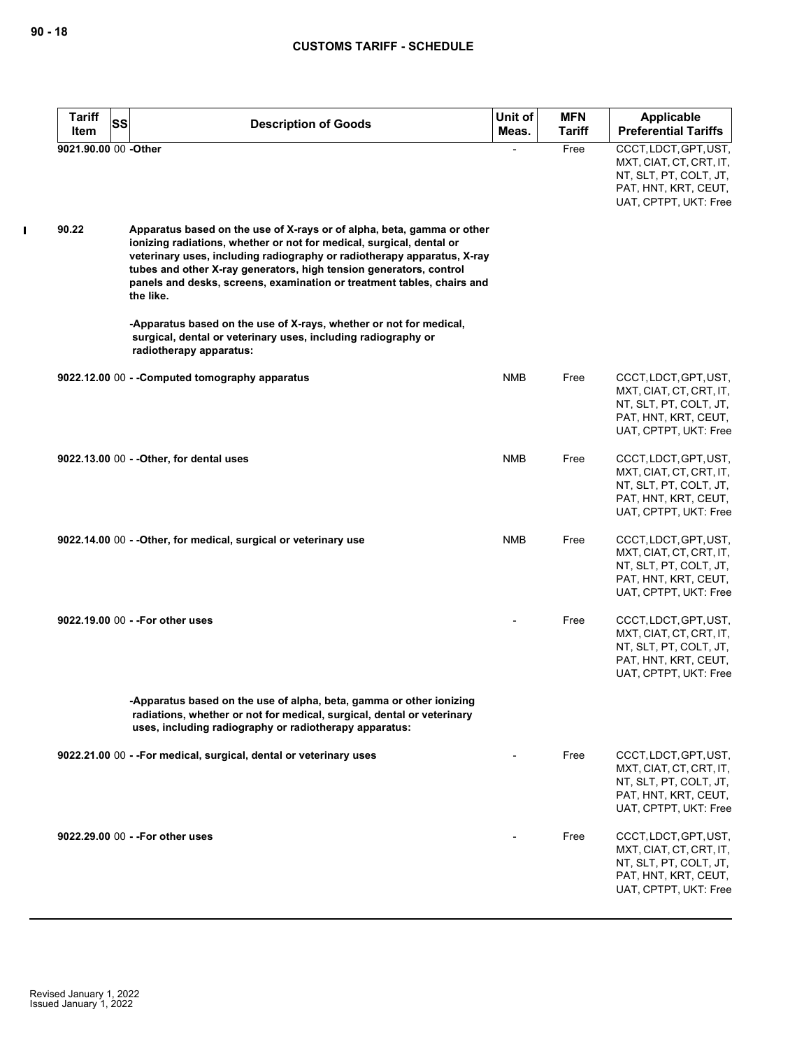| <b>Tariff</b><br>SS  | <b>Description of Goods</b>                                                                                                                                                                                                                                                                                                                                                            | Unit of    | <b>MFN</b>    | <b>Applicable</b>                                                                                                           |
|----------------------|----------------------------------------------------------------------------------------------------------------------------------------------------------------------------------------------------------------------------------------------------------------------------------------------------------------------------------------------------------------------------------------|------------|---------------|-----------------------------------------------------------------------------------------------------------------------------|
| Item                 |                                                                                                                                                                                                                                                                                                                                                                                        | Meas.      | <b>Tariff</b> | <b>Preferential Tariffs</b>                                                                                                 |
| 9021.90.00 00 -Other |                                                                                                                                                                                                                                                                                                                                                                                        |            | Free          | CCCT, LDCT, GPT, UST,<br>MXT, CIAT, CT, CRT, IT,<br>NT, SLT, PT, COLT, JT,<br>PAT, HNT, KRT, CEUT,<br>UAT, CPTPT, UKT: Free |
| 90.22                | Apparatus based on the use of X-rays or of alpha, beta, gamma or other<br>ionizing radiations, whether or not for medical, surgical, dental or<br>veterinary uses, including radiography or radiotherapy apparatus, X-ray<br>tubes and other X-ray generators, high tension generators, control<br>panels and desks, screens, examination or treatment tables, chairs and<br>the like. |            |               |                                                                                                                             |
|                      | -Apparatus based on the use of X-rays, whether or not for medical,<br>surgical, dental or veterinary uses, including radiography or<br>radiotherapy apparatus:                                                                                                                                                                                                                         |            |               |                                                                                                                             |
|                      | 9022.12.00 00 - -Computed tomography apparatus                                                                                                                                                                                                                                                                                                                                         | <b>NMB</b> | Free          | CCCT, LDCT, GPT, UST,<br>MXT, CIAT, CT, CRT, IT,<br>NT, SLT, PT, COLT, JT,<br>PAT, HNT, KRT, CEUT,<br>UAT, CPTPT, UKT: Free |
|                      | 9022.13.00 00 - - Other, for dental uses                                                                                                                                                                                                                                                                                                                                               | <b>NMB</b> | Free          | CCCT, LDCT, GPT, UST,<br>MXT, CIAT, CT, CRT, IT,<br>NT, SLT, PT, COLT, JT,<br>PAT, HNT, KRT, CEUT,<br>UAT, CPTPT, UKT: Free |
|                      | 9022.14.00 00 - - Other, for medical, surgical or veterinary use                                                                                                                                                                                                                                                                                                                       | <b>NMB</b> | Free          | CCCT, LDCT, GPT, UST,<br>MXT, CIAT, CT, CRT, IT,<br>NT, SLT, PT, COLT, JT,<br>PAT, HNT, KRT, CEUT,<br>UAT, CPTPT, UKT: Free |
|                      | 9022.19.00 00 - - For other uses                                                                                                                                                                                                                                                                                                                                                       |            | Free          | CCCT, LDCT, GPT, UST,<br>MXT, CIAT, CT, CRT, IT,<br>NT, SLT, PT, COLT, JT,<br>PAT, HNT, KRT, CEUT,<br>UAT, CPTPT, UKT: Free |
|                      | -Apparatus based on the use of alpha, beta, gamma or other ionizing<br>radiations, whether or not for medical, surgical, dental or veterinary<br>uses, including radiography or radiotherapy apparatus:                                                                                                                                                                                |            |               |                                                                                                                             |
|                      | 9022.21.00 00 - - For medical, surgical, dental or veterinary uses                                                                                                                                                                                                                                                                                                                     |            | Free          | CCCT, LDCT, GPT, UST,<br>MXT, CIAT, CT, CRT, IT,<br>NT, SLT, PT, COLT, JT,<br>PAT, HNT, KRT, CEUT,<br>UAT, CPTPT, UKT: Free |
|                      | 9022.29.00 00 - - For other uses                                                                                                                                                                                                                                                                                                                                                       |            | Free          | CCCT, LDCT, GPT, UST,<br>MXT, CIAT, CT, CRT, IT,<br>NT, SLT, PT, COLT, JT,<br>PAT, HNT, KRT, CEUT,<br>UAT, CPTPT, UKT: Free |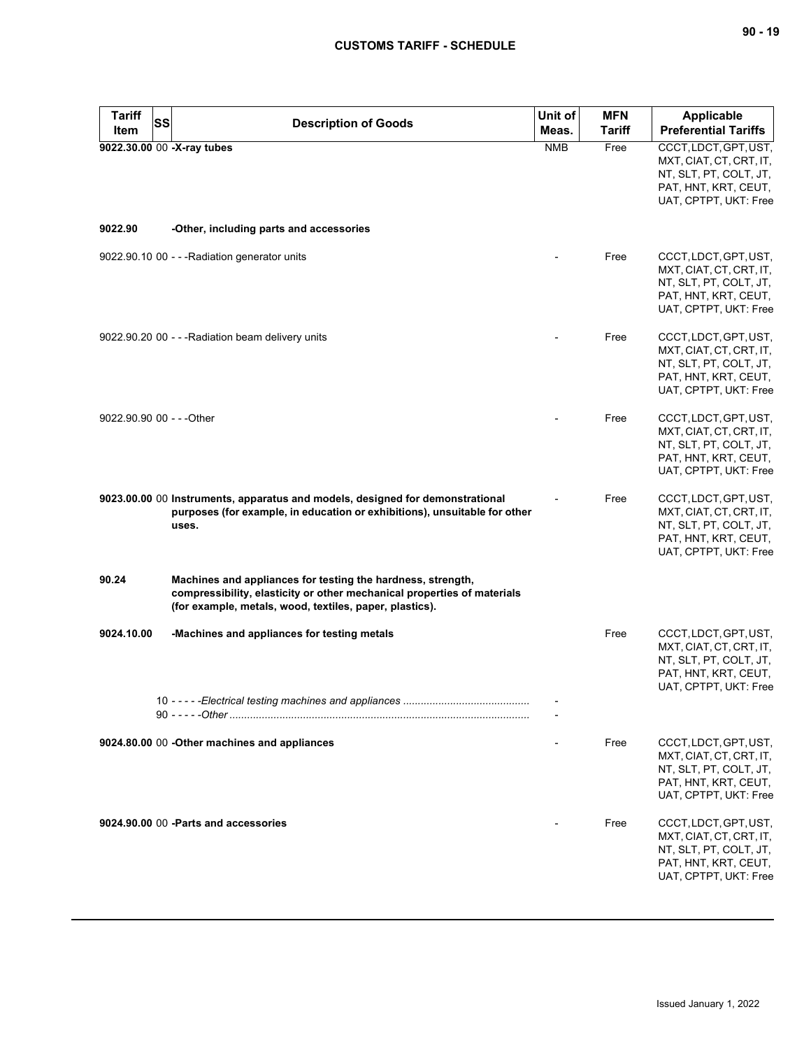| <b>Tariff</b><br><b>SS</b><br>Item | <b>Description of Goods</b>                                                                                                                                                                       | Unit of<br>Meas. | <b>MFN</b><br><b>Tariff</b> | <b>Applicable</b><br><b>Preferential Tariffs</b>                                                                            |
|------------------------------------|---------------------------------------------------------------------------------------------------------------------------------------------------------------------------------------------------|------------------|-----------------------------|-----------------------------------------------------------------------------------------------------------------------------|
| 9022.30.00 00 -X-ray tubes         |                                                                                                                                                                                                   | <b>NMB</b>       | Free                        | CCCT, LDCT, GPT, UST,<br>MXT, CIAT, CT, CRT, IT,<br>NT, SLT, PT, COLT, JT,<br>PAT, HNT, KRT, CEUT,<br>UAT, CPTPT, UKT: Free |
| 9022.90                            | -Other, including parts and accessories                                                                                                                                                           |                  |                             |                                                                                                                             |
|                                    | 9022.90.10 00 - - - Radiation generator units                                                                                                                                                     |                  | Free                        | CCCT, LDCT, GPT, UST,<br>MXT, CIAT, CT, CRT, IT,<br>NT, SLT, PT, COLT, JT,<br>PAT, HNT, KRT, CEUT,<br>UAT, CPTPT, UKT: Free |
|                                    | 9022.90.20 00 - - - Radiation beam delivery units                                                                                                                                                 |                  | Free                        | CCCT, LDCT, GPT, UST,<br>MXT, CIAT, CT, CRT, IT,<br>NT, SLT, PT, COLT, JT,<br>PAT, HNT, KRT, CEUT,<br>UAT, CPTPT, UKT: Free |
| 9022.90.90 00 - - - Other          |                                                                                                                                                                                                   |                  | Free                        | CCCT, LDCT, GPT, UST,<br>MXT, CIAT, CT, CRT, IT,<br>NT, SLT, PT, COLT, JT,<br>PAT, HNT, KRT, CEUT,<br>UAT, CPTPT, UKT: Free |
|                                    | 9023.00.00 00 Instruments, apparatus and models, designed for demonstrational<br>purposes (for example, in education or exhibitions), unsuitable for other<br>uses.                               |                  | Free                        | CCCT, LDCT, GPT, UST,<br>MXT, CIAT, CT, CRT, IT,<br>NT, SLT, PT, COLT, JT,<br>PAT, HNT, KRT, CEUT,<br>UAT, CPTPT, UKT: Free |
| 90.24                              | Machines and appliances for testing the hardness, strength,<br>compressibility, elasticity or other mechanical properties of materials<br>(for example, metals, wood, textiles, paper, plastics). |                  |                             |                                                                                                                             |
| 9024.10.00                         | -Machines and appliances for testing metals                                                                                                                                                       |                  | Free                        | CCCT, LDCT, GPT, UST,<br>MXT, CIAT, CT, CRT, IT,<br>NT, SLT, PT, COLT, JT,<br>PAT, HNT, KRT, CEUT,<br>UAT, CPTPT, UKT: Free |
|                                    |                                                                                                                                                                                                   |                  |                             |                                                                                                                             |
|                                    | 9024.80.00 00 -Other machines and appliances                                                                                                                                                      |                  | Free                        | CCCT, LDCT, GPT, UST,<br>MXT, CIAT, CT, CRT, IT,<br>NT, SLT, PT, COLT, JT,<br>PAT, HNT, KRT, CEUT,<br>UAT, CPTPT, UKT: Free |
|                                    | 9024.90.00 00 - Parts and accessories                                                                                                                                                             |                  | Free                        | CCCT, LDCT, GPT, UST,<br>MXT, CIAT, CT, CRT, IT,<br>NT, SLT, PT, COLT, JT,<br>PAT, HNT, KRT, CEUT,<br>UAT, CPTPT, UKT: Free |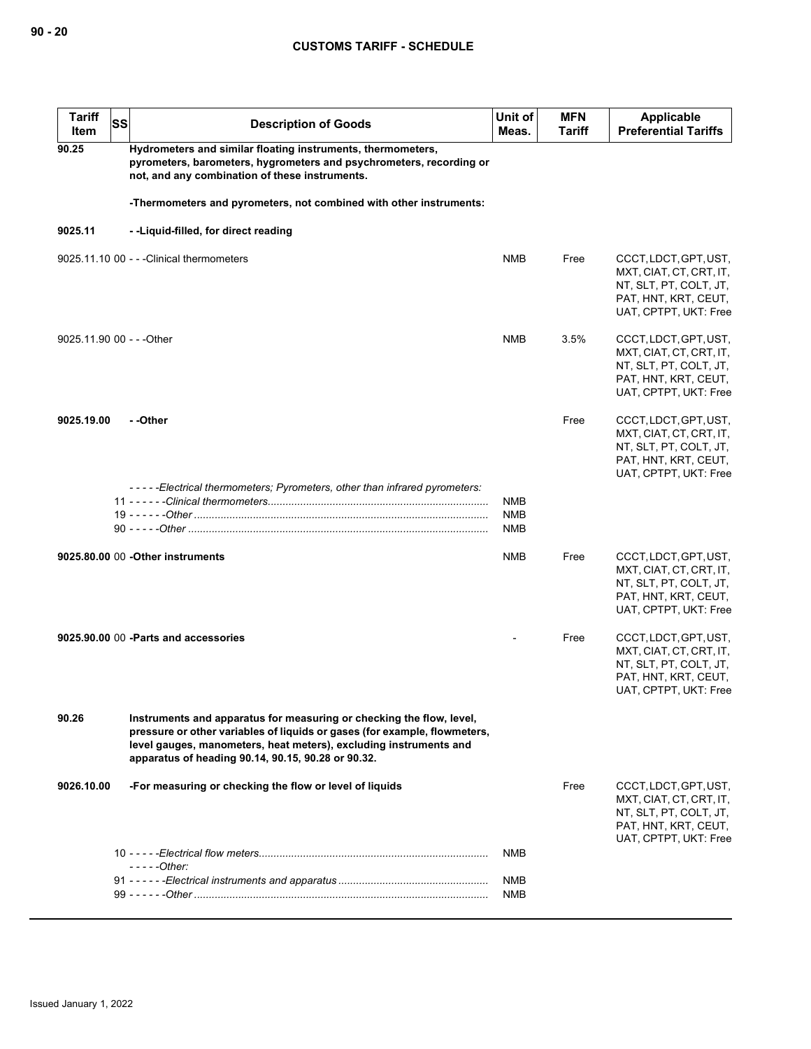| <b>Tariff</b><br>Item     | SS | <b>Description of Goods</b>                                                                                                                                                                                                                                                  | Unit of<br>Meas.                       | <b>MFN</b><br>Tariff | <b>Applicable</b><br><b>Preferential Tariffs</b>                                                                            |
|---------------------------|----|------------------------------------------------------------------------------------------------------------------------------------------------------------------------------------------------------------------------------------------------------------------------------|----------------------------------------|----------------------|-----------------------------------------------------------------------------------------------------------------------------|
| 90.25                     |    | Hydrometers and similar floating instruments, thermometers,<br>pyrometers, barometers, hygrometers and psychrometers, recording or<br>not, and any combination of these instruments.                                                                                         |                                        |                      |                                                                                                                             |
|                           |    | -Thermometers and pyrometers, not combined with other instruments:                                                                                                                                                                                                           |                                        |                      |                                                                                                                             |
| 9025.11                   |    | --Liquid-filled, for direct reading                                                                                                                                                                                                                                          |                                        |                      |                                                                                                                             |
|                           |    | 9025.11.10 00 - - - Clinical thermometers                                                                                                                                                                                                                                    | NMB                                    | Free                 | CCCT, LDCT, GPT, UST,<br>MXT, CIAT, CT, CRT, IT,<br>NT, SLT, PT, COLT, JT,<br>PAT, HNT, KRT, CEUT,<br>UAT, CPTPT, UKT: Free |
| 9025.11.90 00 - - - Other |    |                                                                                                                                                                                                                                                                              | <b>NMB</b>                             | 3.5%                 | CCCT, LDCT, GPT, UST,<br>MXT, CIAT, CT, CRT, IT,<br>NT, SLT, PT, COLT, JT,<br>PAT, HNT, KRT, CEUT,<br>UAT, CPTPT, UKT: Free |
| 9025.19.00                |    | - -Other                                                                                                                                                                                                                                                                     |                                        | Free                 | CCCT, LDCT, GPT, UST,<br>MXT, CIAT, CT, CRT, IT,<br>NT, SLT, PT, COLT, JT,<br>PAT, HNT, KRT, CEUT,<br>UAT, CPTPT, UKT: Free |
|                           |    | -----Electrical thermometers; Pyrometers, other than infrared pyrometers:                                                                                                                                                                                                    | <b>NMB</b><br><b>NMB</b><br><b>NMB</b> |                      |                                                                                                                             |
|                           |    | 9025.80.00 00 - Other instruments                                                                                                                                                                                                                                            | NMB                                    | Free                 | CCCT, LDCT, GPT, UST,<br>MXT, CIAT, CT, CRT, IT,<br>NT, SLT, PT, COLT, JT,<br>PAT, HNT, KRT, CEUT,<br>UAT, CPTPT, UKT: Free |
|                           |    | 9025,90,00 00 - Parts and accessories                                                                                                                                                                                                                                        |                                        | Free                 | CCCT, LDCT, GPT, UST,<br>MXT, CIAT, CT, CRT, IT,<br>NT, SLT, PT, COLT, JT,<br>PAT, HNT, KRT, CEUT,<br>UAT, CPTPT, UKT: Free |
| 90.26                     |    | Instruments and apparatus for measuring or checking the flow, level,<br>pressure or other variables of liquids or gases (for example, flowmeters,<br>level gauges, manometers, heat meters), excluding instruments and<br>apparatus of heading 90.14, 90.15, 90.28 or 90.32. |                                        |                      |                                                                                                                             |
| 9026.10.00                |    | -For measuring or checking the flow or level of liquids                                                                                                                                                                                                                      |                                        | Free                 | CCCT, LDCT, GPT, UST,<br>MXT, CIAT, CT, CRT, IT,<br>NT, SLT, PT, COLT, JT,<br>PAT, HNT, KRT, CEUT,<br>UAT, CPTPT, UKT: Free |
|                           |    | $---Other$                                                                                                                                                                                                                                                                   | <b>NMB</b>                             |                      |                                                                                                                             |
|                           |    |                                                                                                                                                                                                                                                                              | <b>NMB</b><br>NMB                      |                      |                                                                                                                             |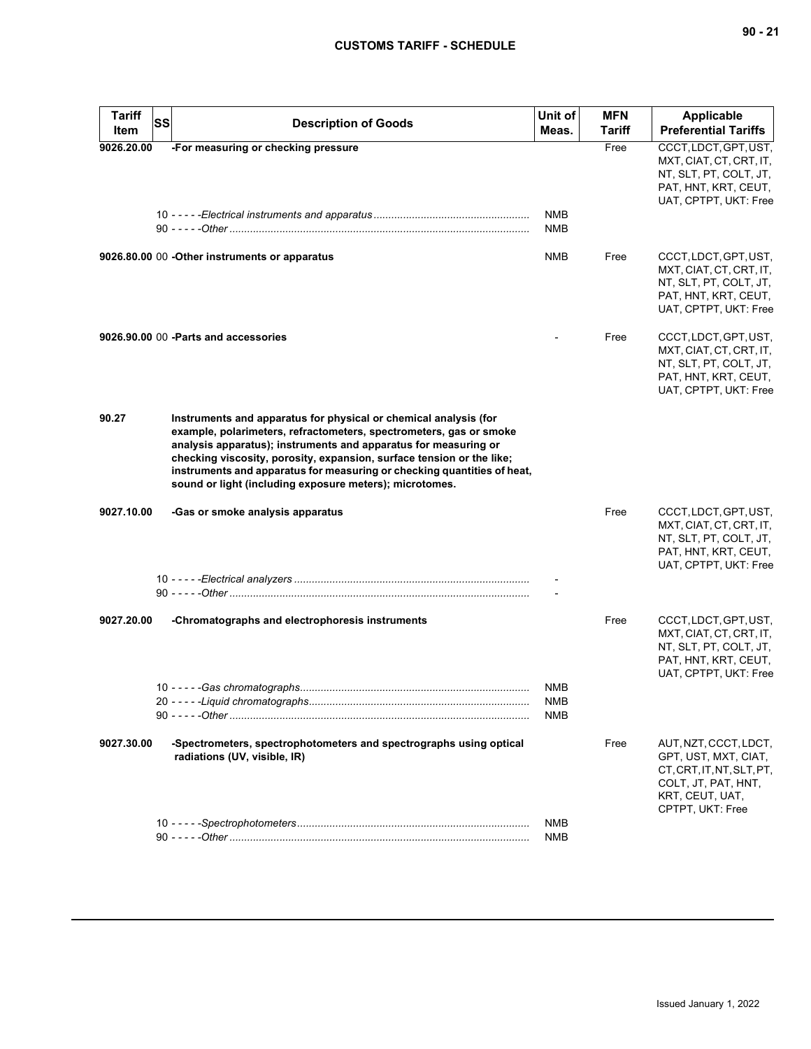| <b>Tariff</b><br>Item | <b>SS</b> | <b>Description of Goods</b>                                                                                                                                                                                                                                                                                                                                                                                              | Unit of<br>Meas.         | <b>MFN</b><br><b>Tariff</b> | <b>Applicable</b><br><b>Preferential Tariffs</b>                                                                                         |
|-----------------------|-----------|--------------------------------------------------------------------------------------------------------------------------------------------------------------------------------------------------------------------------------------------------------------------------------------------------------------------------------------------------------------------------------------------------------------------------|--------------------------|-----------------------------|------------------------------------------------------------------------------------------------------------------------------------------|
| 9026.20.00            |           | -For measuring or checking pressure                                                                                                                                                                                                                                                                                                                                                                                      | NMB                      | Free                        | CCCT, LDCT, GPT, UST,<br>MXT, CIAT, CT, CRT, IT,<br>NT, SLT, PT, COLT, JT,<br>PAT, HNT, KRT, CEUT,<br>UAT, CPTPT, UKT: Free              |
|                       |           |                                                                                                                                                                                                                                                                                                                                                                                                                          | NMB                      |                             |                                                                                                                                          |
|                       |           | 9026.80.00 00 - Other instruments or apparatus                                                                                                                                                                                                                                                                                                                                                                           | NMB                      | Free                        | CCCT, LDCT, GPT, UST,<br>MXT, CIAT, CT, CRT, IT,<br>NT, SLT, PT, COLT, JT,<br>PAT, HNT, KRT, CEUT,<br>UAT, CPTPT, UKT: Free              |
|                       |           | 9026.90.00 00 - Parts and accessories                                                                                                                                                                                                                                                                                                                                                                                    |                          | Free                        | CCCT, LDCT, GPT, UST,<br>MXT, CIAT, CT, CRT, IT,<br>NT, SLT, PT, COLT, JT,<br>PAT, HNT, KRT, CEUT,<br>UAT, CPTPT, UKT: Free              |
| 90.27                 |           | Instruments and apparatus for physical or chemical analysis (for<br>example, polarimeters, refractometers, spectrometers, gas or smoke<br>analysis apparatus); instruments and apparatus for measuring or<br>checking viscosity, porosity, expansion, surface tension or the like;<br>instruments and apparatus for measuring or checking quantities of heat,<br>sound or light (including exposure meters); microtomes. |                          |                             |                                                                                                                                          |
| 9027.10.00            |           | -Gas or smoke analysis apparatus                                                                                                                                                                                                                                                                                                                                                                                         |                          | Free                        | CCCT, LDCT, GPT, UST,<br>MXT, CIAT, CT, CRT, IT,<br>NT, SLT, PT, COLT, JT,<br>PAT, HNT, KRT, CEUT,<br>UAT, CPTPT, UKT: Free              |
|                       |           |                                                                                                                                                                                                                                                                                                                                                                                                                          |                          |                             |                                                                                                                                          |
| 9027.20.00            |           | -Chromatographs and electrophoresis instruments                                                                                                                                                                                                                                                                                                                                                                          |                          | Free                        | CCCT, LDCT, GPT, UST,<br>MXT, CIAT, CT, CRT, IT,<br>NT, SLT, PT, COLT, JT,<br>PAT, HNT, KRT, CEUT,<br>UAT, CPTPT, UKT: Free              |
|                       |           |                                                                                                                                                                                                                                                                                                                                                                                                                          | NMB<br><b>NMB</b><br>NMB |                             |                                                                                                                                          |
| 9027.30.00            |           | -Spectrometers, spectrophotometers and spectrographs using optical<br>radiations (UV, visible, IR)                                                                                                                                                                                                                                                                                                                       |                          | Free                        | AUT, NZT, CCCT, LDCT,<br>GPT, UST, MXT, CIAT,<br>CT, CRT, IT, NT, SLT, PT,<br>COLT, JT, PAT, HNT,<br>KRT, CEUT, UAT,<br>CPTPT, UKT: Free |
|                       |           |                                                                                                                                                                                                                                                                                                                                                                                                                          | <b>NMB</b><br><b>NMB</b> |                             |                                                                                                                                          |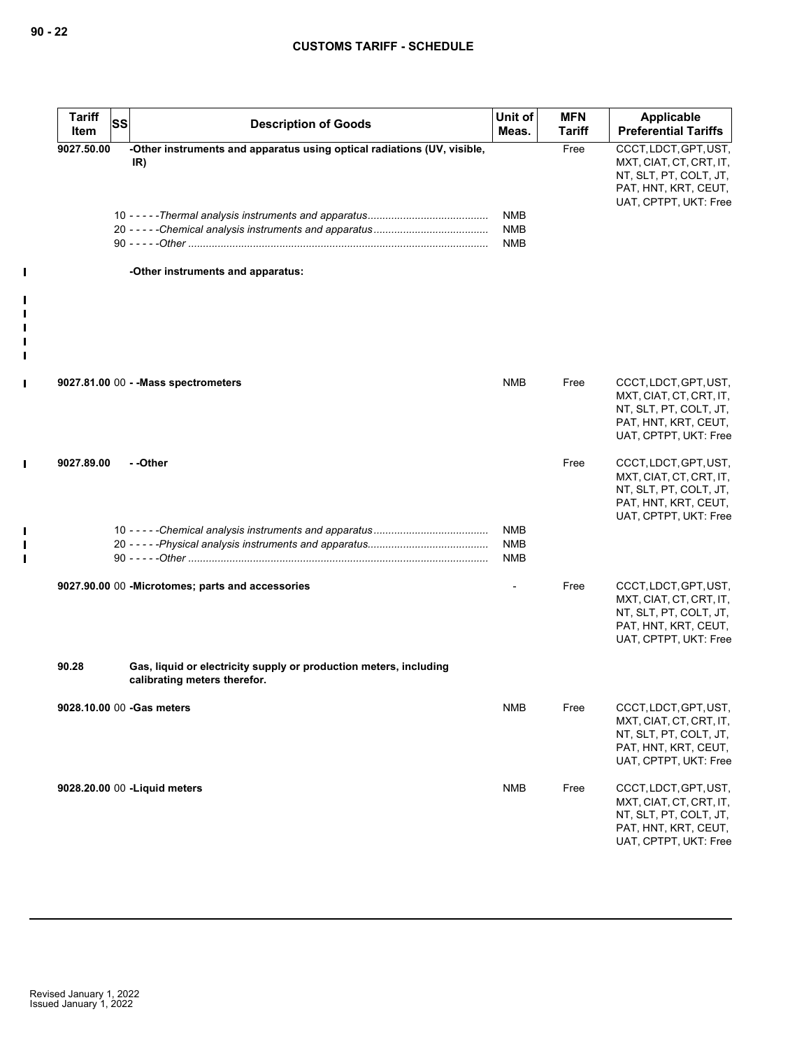| <b>Tariff</b> | <b>SS</b><br><b>Description of Goods</b>                                                          | Unit of                                | <b>MFN</b>    | Applicable                                                                                                                  |
|---------------|---------------------------------------------------------------------------------------------------|----------------------------------------|---------------|-----------------------------------------------------------------------------------------------------------------------------|
| Item          |                                                                                                   | Meas.                                  | <b>Tariff</b> | <b>Preferential Tariffs</b>                                                                                                 |
| 9027.50.00    | -Other instruments and apparatus using optical radiations (UV, visible,<br>IR)                    | <b>NMB</b><br><b>NMB</b><br><b>NMB</b> | Free          | CCCT, LDCT, GPT, UST,<br>MXT, CIAT, CT, CRT, IT,<br>NT, SLT, PT, COLT, JT,<br>PAT, HNT, KRT, CEUT,<br>UAT, CPTPT, UKT: Free |
|               | -Other instruments and apparatus:                                                                 |                                        |               |                                                                                                                             |
|               |                                                                                                   |                                        |               |                                                                                                                             |
|               | 9027.81.00 00 - - Mass spectrometers                                                              | <b>NMB</b>                             | Free          | CCCT, LDCT, GPT, UST,<br>MXT, CIAT, CT, CRT, IT,<br>NT, SLT, PT, COLT, JT,<br>PAT, HNT, KRT, CEUT,<br>UAT, CPTPT, UKT: Free |
| 9027.89.00    | - -Other                                                                                          |                                        | Free          | CCCT, LDCT, GPT, UST,<br>MXT, CIAT, CT, CRT, IT,<br>NT, SLT, PT, COLT, JT,<br>PAT, HNT, KRT, CEUT,<br>UAT, CPTPT, UKT: Free |
|               |                                                                                                   | <b>NMB</b><br><b>NMB</b><br><b>NMB</b> |               |                                                                                                                             |
|               | 9027.90.00 00 -Microtomes; parts and accessories                                                  |                                        | Free          | CCCT, LDCT, GPT, UST,<br>MXT, CIAT, CT, CRT, IT,<br>NT, SLT, PT, COLT, JT,<br>PAT, HNT, KRT, CEUT,<br>UAT, CPTPT, UKT: Free |
| 90.28         | Gas, liquid or electricity supply or production meters, including<br>calibrating meters therefor. |                                        |               |                                                                                                                             |
|               | 9028.10.00 00 -Gas meters                                                                         | NMB                                    | Free          | CCCT, LDCT, GPT, UST,<br>MXT, CIAT, CT, CRT, IT,<br>NT, SLT, PT, COLT, JT,<br>PAT, HNT, KRT, CEUT,<br>UAT, CPTPT, UKT: Free |
|               | 9028.20.00 00 - Liquid meters                                                                     | <b>NMB</b>                             | Free          | CCCT, LDCT, GPT, UST,<br>MXT, CIAT, CT, CRT, IT,<br>NT, SLT, PT, COLT, JT,<br>PAT, HNT, KRT, CEUT,<br>UAT, CPTPT, UKT: Free |

 $\blacksquare$ 

 $\mathbf{I}$  $\blacksquare$  $\blacksquare$  $\blacksquare$  $\blacksquare$ 

 $\mathbf{I}$ 

 $\mathbf{I}$ 

 $\mathbf{I}$  $\mathbf{I}$  $\mathbf{I}$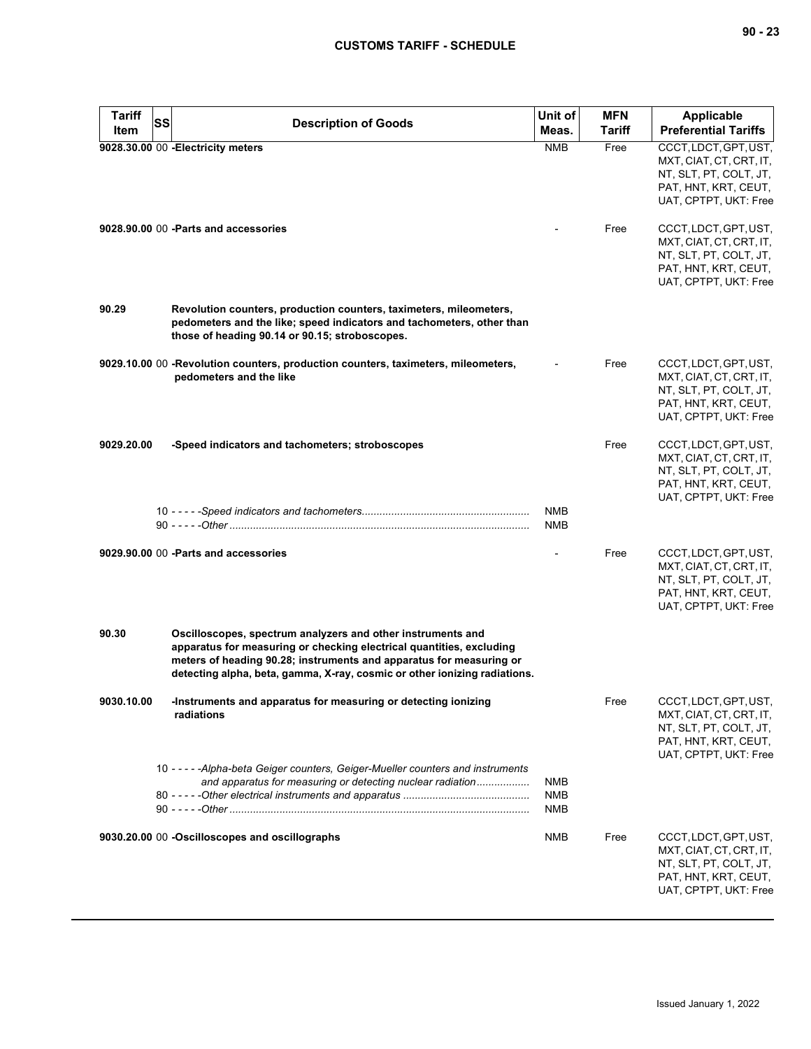| <b>Tariff</b><br>Item | SS | <b>Description of Goods</b>                                                                                                                                                                                                                                                             | Unit of<br>Meas.         | <b>MFN</b><br><b>Tariff</b> | <b>Applicable</b><br><b>Preferential Tariffs</b>                                                                            |
|-----------------------|----|-----------------------------------------------------------------------------------------------------------------------------------------------------------------------------------------------------------------------------------------------------------------------------------------|--------------------------|-----------------------------|-----------------------------------------------------------------------------------------------------------------------------|
|                       |    | 9028.30.00 00 - Electricity meters                                                                                                                                                                                                                                                      | <b>NMB</b>               | Free                        | CCCT, LDCT, GPT, UST,<br>MXT, CIAT, CT, CRT, IT,<br>NT, SLT, PT, COLT, JT,<br>PAT, HNT, KRT, CEUT,<br>UAT, CPTPT, UKT: Free |
|                       |    | 9028,90,00 00 - Parts and accessories                                                                                                                                                                                                                                                   |                          | Free                        | CCCT, LDCT, GPT, UST,<br>MXT, CIAT, CT, CRT, IT,<br>NT, SLT, PT, COLT, JT,<br>PAT, HNT, KRT, CEUT,<br>UAT, CPTPT, UKT: Free |
| 90.29                 |    | Revolution counters, production counters, taximeters, mileometers,<br>pedometers and the like; speed indicators and tachometers, other than<br>those of heading 90.14 or 90.15; stroboscopes.                                                                                           |                          |                             |                                                                                                                             |
|                       |    | 9029.10.00 00 -Revolution counters, production counters, taximeters, mileometers,<br>pedometers and the like                                                                                                                                                                            |                          | Free                        | CCCT, LDCT, GPT, UST,<br>MXT, CIAT, CT, CRT, IT,<br>NT, SLT, PT, COLT, JT,<br>PAT, HNT, KRT, CEUT,<br>UAT, CPTPT, UKT: Free |
| 9029.20.00            |    | -Speed indicators and tachometers; stroboscopes                                                                                                                                                                                                                                         | <b>NMB</b>               | Free                        | CCCT, LDCT, GPT, UST,<br>MXT, CIAT, CT, CRT, IT,<br>NT, SLT, PT, COLT, JT,<br>PAT, HNT, KRT, CEUT,<br>UAT, CPTPT, UKT: Free |
|                       |    |                                                                                                                                                                                                                                                                                         | <b>NMB</b>               |                             |                                                                                                                             |
|                       |    | 9029.90.00 00 - Parts and accessories                                                                                                                                                                                                                                                   |                          | Free                        | CCCT, LDCT, GPT, UST,<br>MXT, CIAT, CT, CRT, IT,<br>NT, SLT, PT, COLT, JT,<br>PAT, HNT, KRT, CEUT,<br>UAT, CPTPT, UKT: Free |
| 90.30                 |    | Oscilloscopes, spectrum analyzers and other instruments and<br>apparatus for measuring or checking electrical quantities, excluding<br>meters of heading 90.28; instruments and apparatus for measuring or<br>detecting alpha, beta, gamma, X-ray, cosmic or other ionizing radiations. |                          |                             |                                                                                                                             |
| 9030.10.00            |    | -Instruments and apparatus for measuring or detecting ionizing<br>radiations                                                                                                                                                                                                            |                          | ⊦ree                        | CCCT, LDCT, GPT, UST,<br>MXT, CIAT, CT, CRT, IT,<br>NT, SLT, PT, COLT, JT,<br>PAT, HNT, KRT, CEUT,<br>UAT, CPTPT, UKT: Free |
|                       |    | 10 - - - - - Alpha-beta Geiger counters, Geiger-Mueller counters and instruments<br>and apparatus for measuring or detecting nuclear radiation                                                                                                                                          | NMB<br><b>NMB</b><br>NMB |                             |                                                                                                                             |
|                       |    | 9030.20.00 00 -Oscilloscopes and oscillographs                                                                                                                                                                                                                                          | <b>NMB</b>               | Free                        | CCCT, LDCT, GPT, UST,<br>MXT, CIAT, CT, CRT, IT,<br>NT, SLT, PT, COLT, JT,<br>PAT, HNT, KRT, CEUT,<br>UAT, CPTPT, UKT: Free |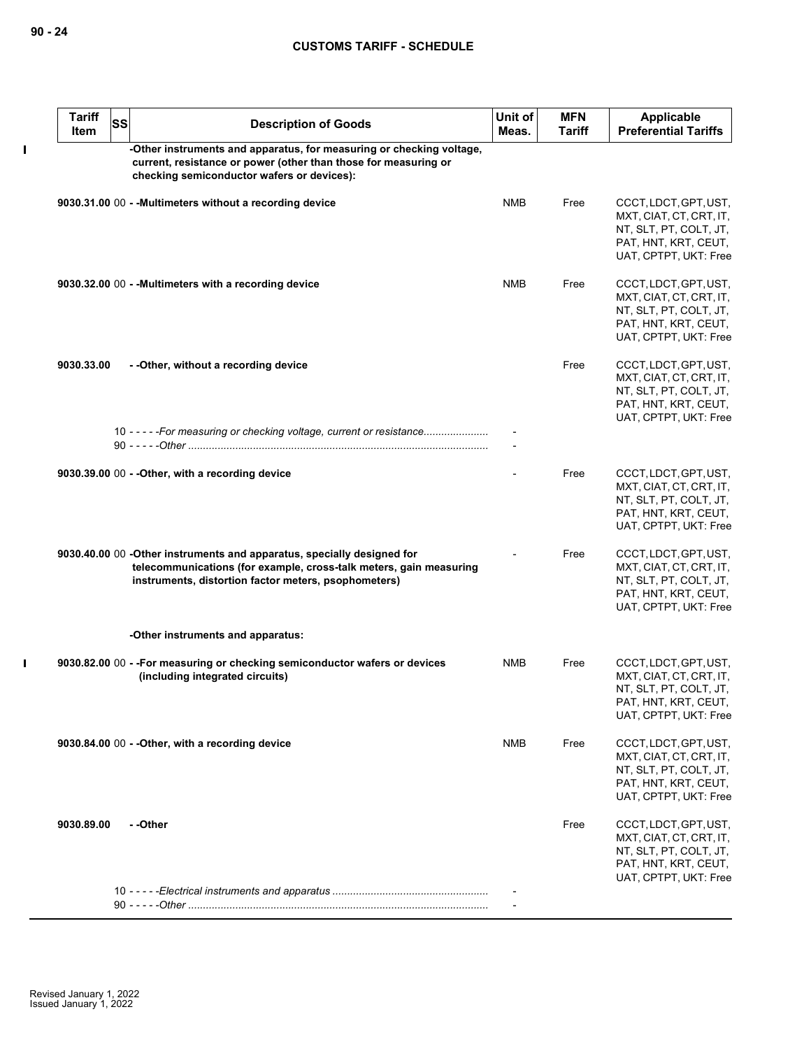$\pmb{\mathsf{I}}$ 

| <b>Tariff</b><br>Item | SS | <b>Description of Goods</b>                                                                                                                                                                          | Unit of<br>Meas. | <b>MFN</b><br>Tariff | Applicable<br><b>Preferential Tariffs</b>                                                                                   |
|-----------------------|----|------------------------------------------------------------------------------------------------------------------------------------------------------------------------------------------------------|------------------|----------------------|-----------------------------------------------------------------------------------------------------------------------------|
|                       |    | -Other instruments and apparatus, for measuring or checking voltage,<br>current, resistance or power (other than those for measuring or<br>checking semiconductor wafers or devices):                |                  |                      |                                                                                                                             |
|                       |    | 9030.31.00 00 - - Multimeters without a recording device                                                                                                                                             | <b>NMB</b>       | Free                 | CCCT, LDCT, GPT, UST,<br>MXT, CIAT, CT, CRT, IT,<br>NT, SLT, PT, COLT, JT,<br>PAT, HNT, KRT, CEUT,<br>UAT, CPTPT, UKT: Free |
|                       |    | 9030.32.00 00 - - Multimeters with a recording device                                                                                                                                                | <b>NMB</b>       | Free                 | CCCT, LDCT, GPT, UST,<br>MXT, CIAT, CT, CRT, IT,<br>NT, SLT, PT, COLT, JT,<br>PAT, HNT, KRT, CEUT,<br>UAT, CPTPT, UKT: Free |
| 9030.33.00            |    | --Other, without a recording device                                                                                                                                                                  |                  | Free                 | CCCT, LDCT, GPT, UST,<br>MXT, CIAT, CT, CRT, IT,<br>NT, SLT, PT, COLT, JT,<br>PAT, HNT, KRT, CEUT,<br>UAT, CPTPT, UKT: Free |
|                       |    | 10 - - - - - For measuring or checking voltage, current or resistance                                                                                                                                |                  |                      |                                                                                                                             |
|                       |    | 9030.39.00 00 - - Other, with a recording device                                                                                                                                                     |                  | Free                 | CCCT, LDCT, GPT, UST,<br>MXT, CIAT, CT, CRT, IT,<br>NT, SLT, PT, COLT, JT,<br>PAT, HNT, KRT, CEUT,<br>UAT, CPTPT, UKT: Free |
|                       |    | 9030.40.00 00 -Other instruments and apparatus, specially designed for<br>telecommunications (for example, cross-talk meters, gain measuring<br>instruments, distortion factor meters, psophometers) |                  | Free                 | CCCT, LDCT, GPT, UST,<br>MXT, CIAT, CT, CRT, IT,<br>NT, SLT, PT, COLT, JT,<br>PAT, HNT, KRT, CEUT,<br>UAT, CPTPT, UKT: Free |
|                       |    | -Other instruments and apparatus:                                                                                                                                                                    |                  |                      |                                                                                                                             |
|                       |    | 9030.82.00 00 - - For measuring or checking semiconductor wafers or devices<br>(including integrated circuits)                                                                                       | <b>NMB</b>       | Free                 | CCCT, LDCT, GPT, UST,<br>MXT, CIAT, CT, CRT, IT,<br>NT, SLT, PT, COLT, JT,<br>PAT, HNT, KRT, CEUT,<br>UAT, CPTPT, UKT: Free |
|                       |    | 9030.84.00 00 - - Other, with a recording device                                                                                                                                                     | NMB              | Free                 | CCCT, LDCT, GPT, UST,<br>MXT, CIAT, CT, CRT, IT,<br>NT, SLT, PT, COLT, JT,<br>PAT, HNT, KRT, CEUT,<br>UAT, CPTPT, UKT: Free |
| 9030.89.00            |    | - -Other                                                                                                                                                                                             |                  | Free                 | CCCT, LDCT, GPT, UST,<br>MXT, CIAT, CT, CRT, IT,<br>NT, SLT, PT, COLT, JT,<br>PAT, HNT, KRT, CEUT,<br>UAT, CPTPT, UKT: Free |
|                       |    |                                                                                                                                                                                                      |                  |                      |                                                                                                                             |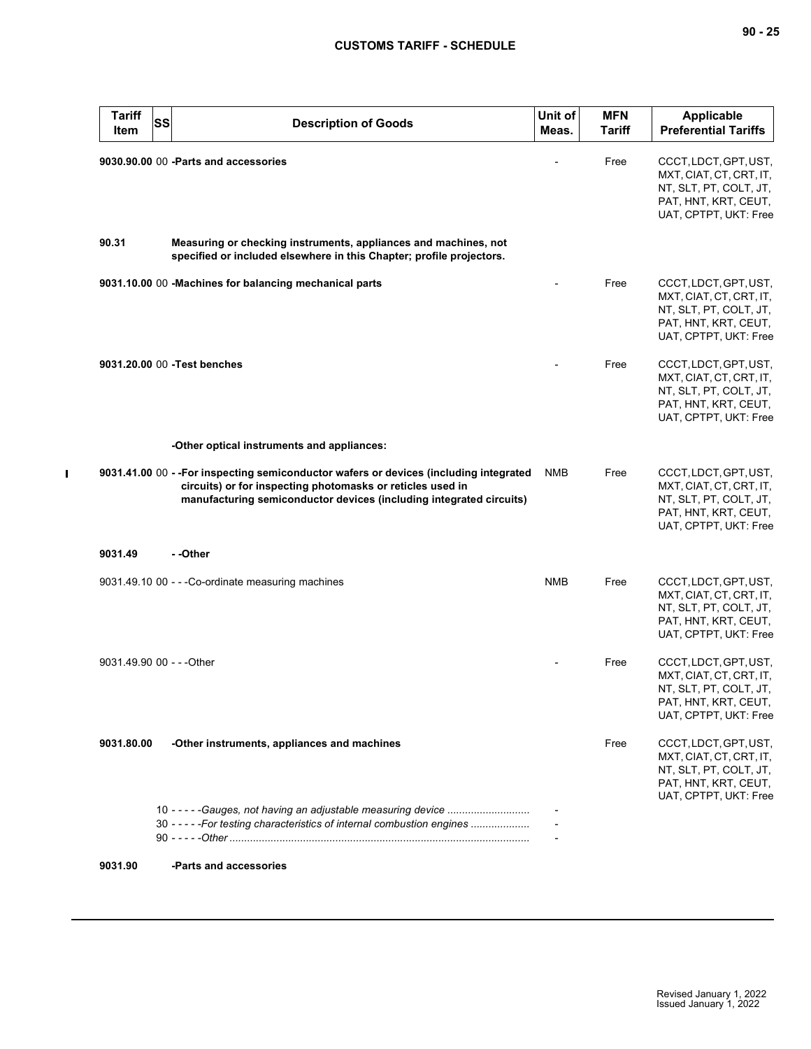| <b>Tariff</b><br>Item     | <b>SS</b><br><b>Description of Goods</b>                                                                                                                                                                                    | Unit of<br>Meas. | <b>MFN</b><br><b>Tariff</b> | <b>Applicable</b><br><b>Preferential Tariffs</b>                                                                            |
|---------------------------|-----------------------------------------------------------------------------------------------------------------------------------------------------------------------------------------------------------------------------|------------------|-----------------------------|-----------------------------------------------------------------------------------------------------------------------------|
|                           | 9030.90.00 00 - Parts and accessories                                                                                                                                                                                       |                  | Free                        | CCCT, LDCT, GPT, UST,<br>MXT, CIAT, CT, CRT, IT,<br>NT, SLT, PT, COLT, JT,<br>PAT, HNT, KRT, CEUT,<br>UAT, CPTPT, UKT: Free |
| 90.31                     | Measuring or checking instruments, appliances and machines, not<br>specified or included elsewhere in this Chapter; profile projectors.                                                                                     |                  |                             |                                                                                                                             |
|                           | 9031.10.00 00 -Machines for balancing mechanical parts                                                                                                                                                                      |                  | Free                        | CCCT, LDCT, GPT, UST,<br>MXT, CIAT, CT, CRT, IT,<br>NT, SLT, PT, COLT, JT,<br>PAT, HNT, KRT, CEUT,<br>UAT, CPTPT, UKT: Free |
|                           | 9031.20.00 00 - Test benches                                                                                                                                                                                                |                  | Free                        | CCCT, LDCT, GPT, UST,<br>MXT, CIAT, CT, CRT, IT,<br>NT, SLT, PT, COLT, JT,<br>PAT, HNT, KRT, CEUT,<br>UAT, CPTPT, UKT: Free |
|                           | -Other optical instruments and appliances:                                                                                                                                                                                  |                  |                             |                                                                                                                             |
|                           | 9031.41.00 00 - - For inspecting semiconductor wafers or devices (including integrated<br>circuits) or for inspecting photomasks or reticles used in<br>manufacturing semiconductor devices (including integrated circuits) | <b>NMB</b>       | Free                        | CCCT, LDCT, GPT, UST,<br>MXT, CIAT, CT, CRT, IT,<br>NT, SLT, PT, COLT, JT,<br>PAT, HNT, KRT, CEUT,<br>UAT, CPTPT, UKT: Free |
| 9031.49                   | - -Other                                                                                                                                                                                                                    |                  |                             |                                                                                                                             |
|                           | 9031.49.10 00 - - - Co-ordinate measuring machines                                                                                                                                                                          | <b>NMB</b>       | Free                        | CCCT, LDCT, GPT, UST,<br>MXT, CIAT, CT, CRT, IT,<br>NT, SLT, PT, COLT, JT,<br>PAT, HNT, KRT, CEUT,<br>UAT, CPTPT, UKT: Free |
| 9031.49.90 00 - - - Other |                                                                                                                                                                                                                             |                  | Free                        | CCCT, LDCT, GPT, UST,<br>MXT, CIAT, CT, CRT, IT,<br>NT, SLT, PT, COLT, JT,<br>PAT, HNT, KRT, CEUT,<br>UAT, CPTPT, UKT: Free |
| 9031.80.00                | -Other instruments, appliances and machines                                                                                                                                                                                 |                  | Free                        | CCCT, LDCT, GPT, UST,<br>MXT, CIAT, CT, CRT, IT,<br>NT, SLT, PT, COLT, JT,<br>PAT, HNT, KRT, CEUT,<br>UAT, CPTPT, UKT: Free |
|                           | 30 - - - - - For testing characteristics of internal combustion engines                                                                                                                                                     |                  |                             |                                                                                                                             |
| 9031.90                   | -Parts and accessories                                                                                                                                                                                                      |                  |                             |                                                                                                                             |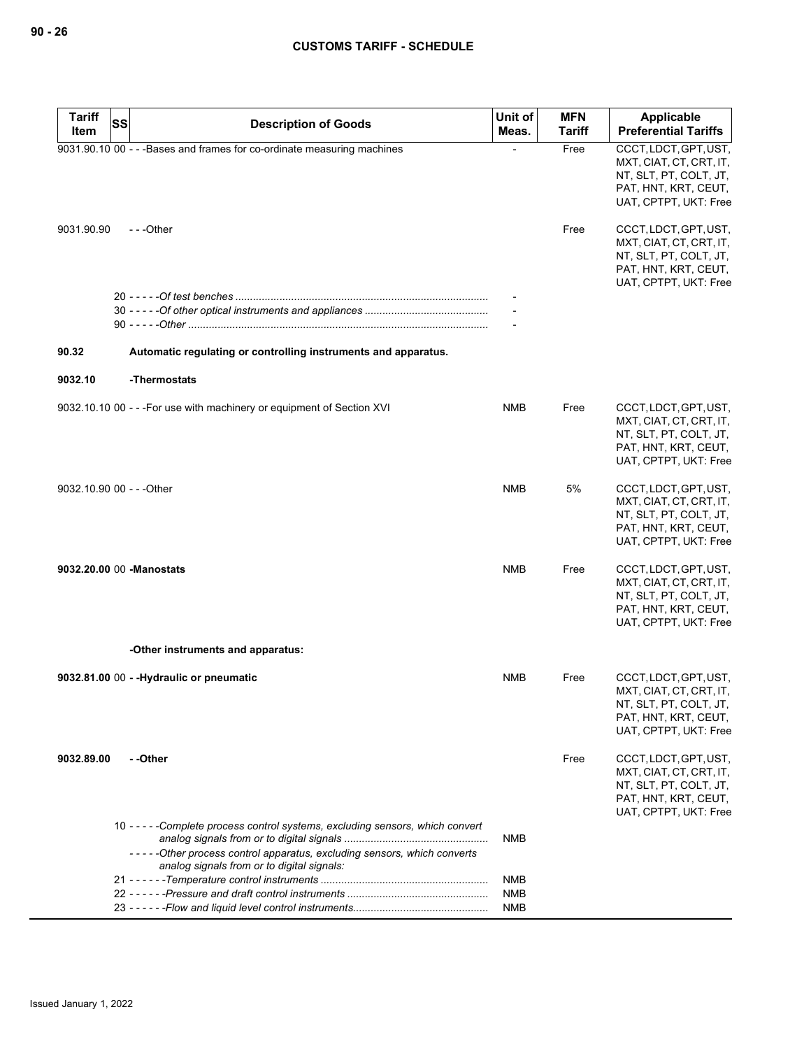| <b>Tariff</b>             | SS | <b>Description of Goods</b>                                                                                                                                                                              | Unit of                         | <b>MFN</b>    | Applicable                                                                                                                  |
|---------------------------|----|----------------------------------------------------------------------------------------------------------------------------------------------------------------------------------------------------------|---------------------------------|---------------|-----------------------------------------------------------------------------------------------------------------------------|
| Item                      |    |                                                                                                                                                                                                          | Meas.                           | <b>Tariff</b> | <b>Preferential Tariffs</b>                                                                                                 |
|                           |    | 9031.90.10 00 - - - Bases and frames for co-ordinate measuring machines                                                                                                                                  |                                 | Free          | CCCT, LDCT, GPT, UST,<br>MXT, CIAT, CT, CRT, IT,<br>NT, SLT, PT, COLT, JT,<br>PAT, HNT, KRT, CEUT,<br>UAT, CPTPT, UKT: Free |
| 9031.90.90                |    | $-$ - -Other                                                                                                                                                                                             |                                 | Free          | CCCT, LDCT, GPT, UST,<br>MXT, CIAT, CT, CRT, IT,<br>NT, SLT, PT, COLT, JT,<br>PAT, HNT, KRT, CEUT,<br>UAT, CPTPT, UKT: Free |
|                           |    |                                                                                                                                                                                                          |                                 |               |                                                                                                                             |
| 90.32                     |    | Automatic regulating or controlling instruments and apparatus.                                                                                                                                           |                                 |               |                                                                                                                             |
| 9032.10                   |    | -Thermostats                                                                                                                                                                                             |                                 |               |                                                                                                                             |
|                           |    | 9032.10.10 00 - - - For use with machinery or equipment of Section XVI                                                                                                                                   | NMB                             | Free          | CCCT, LDCT, GPT, UST,<br>MXT, CIAT, CT, CRT, IT,<br>NT, SLT, PT, COLT, JT,<br>PAT, HNT, KRT, CEUT,<br>UAT, CPTPT, UKT: Free |
| 9032.10.90 00 - - - Other |    |                                                                                                                                                                                                          | <b>NMB</b>                      | 5%            | CCCT, LDCT, GPT, UST,<br>MXT, CIAT, CT, CRT, IT,<br>NT, SLT, PT, COLT, JT,<br>PAT, HNT, KRT, CEUT,<br>UAT, CPTPT, UKT: Free |
|                           |    | 9032.20.00 00 - Manostats                                                                                                                                                                                | <b>NMB</b>                      | Free          | CCCT, LDCT, GPT, UST,<br>MXT, CIAT, CT, CRT, IT,<br>NT, SLT, PT, COLT, JT,<br>PAT, HNT, KRT, CEUT,<br>UAT, CPTPT, UKT: Free |
|                           |    | -Other instruments and apparatus:                                                                                                                                                                        |                                 |               |                                                                                                                             |
|                           |    | 9032.81.00 00 - - Hydraulic or pneumatic                                                                                                                                                                 | <b>NMB</b>                      | Free          | CCCT, LDCT, GPT, UST,<br>MXT, CIAT, CT, CRT, IT,<br>NT, SLT, PT, COLT, JT,<br>PAT, HNT, KRT, CEUT,<br>UAT, CPTPT, UKT: Free |
| 9032.89.00                |    | - -Other                                                                                                                                                                                                 |                                 | Free          | CCCT, LDCT, GPT, UST,<br>MXT, CIAT, CT, CRT, IT,<br>NT, SLT, PT, COLT, JT,<br>PAT, HNT, KRT, CEUT,<br>UAT, CPTPT, UKT: Free |
|                           |    | 10 - - - - - Complete process control systems, excluding sensors, which convert<br>-----Other process control apparatus, excluding sensors, which converts<br>analog signals from or to digital signals: | <b>NMB</b>                      |               |                                                                                                                             |
|                           |    |                                                                                                                                                                                                          | <b>NMB</b><br>NMB<br><b>NMB</b> |               |                                                                                                                             |